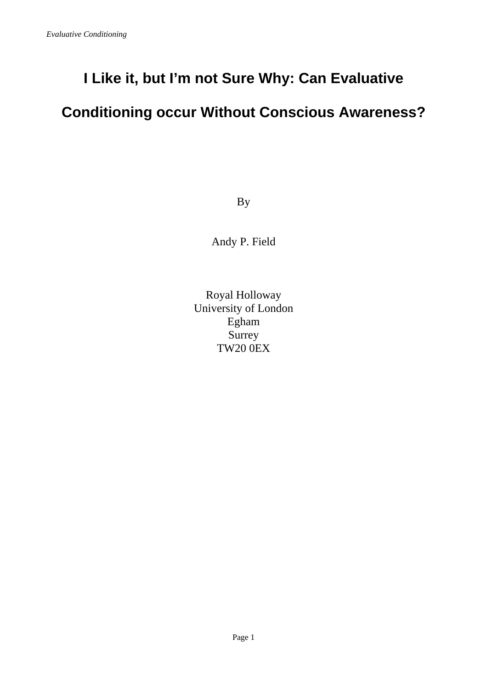# **I Like it, but I'm not Sure Why: Can Evaluative**

# **Conditioning occur Without Conscious Awareness?**

By

Andy P. Field

Royal Holloway University of London Egham Surrey TW20 0EX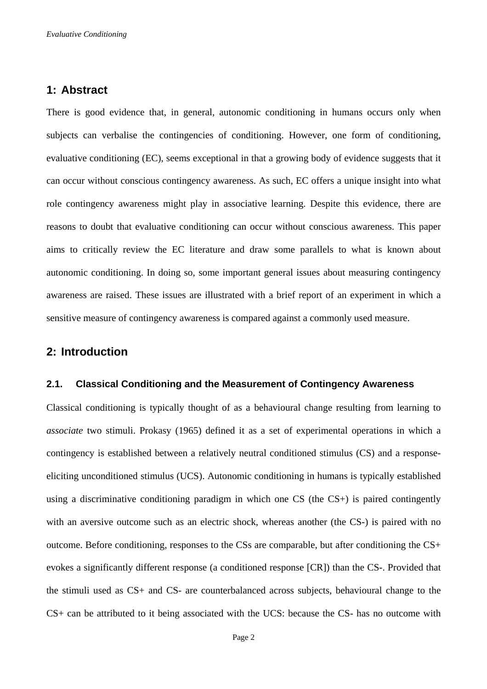## **1: Abstract**

There is good evidence that, in general, autonomic conditioning in humans occurs only when subjects can verbalise the contingencies of conditioning. However, one form of conditioning, evaluative conditioning (EC), seems exceptional in that a growing body of evidence suggests that it can occur without conscious contingency awareness. As such, EC offers a unique insight into what role contingency awareness might play in associative learning. Despite this evidence, there are reasons to doubt that evaluative conditioning can occur without conscious awareness. This paper aims to critically review the EC literature and draw some parallels to what is known about autonomic conditioning. In doing so, some important general issues about measuring contingency awareness are raised. These issues are illustrated with a brief report of an experiment in which a sensitive measure of contingency awareness is compared against a commonly used measure.

## **2: Introduction**

## **2.1. Classical Conditioning and the Measurement of Contingency Awareness**

Classical conditioning is typically thought of as a behavioural change resulting from learning to *associate* two stimuli. Prokasy (1965) defined it as a set of experimental operations in which a contingency is established between a relatively neutral conditioned stimulus (CS) and a responseeliciting unconditioned stimulus (UCS). Autonomic conditioning in humans is typically established using a discriminative conditioning paradigm in which one CS (the CS+) is paired contingently with an aversive outcome such as an electric shock, whereas another (the CS-) is paired with no outcome. Before conditioning, responses to the CSs are comparable, but after conditioning the CS+ evokes a significantly different response (a conditioned response [CR]) than the CS-. Provided that the stimuli used as CS+ and CS- are counterbalanced across subjects, behavioural change to the CS+ can be attributed to it being associated with the UCS: because the CS- has no outcome with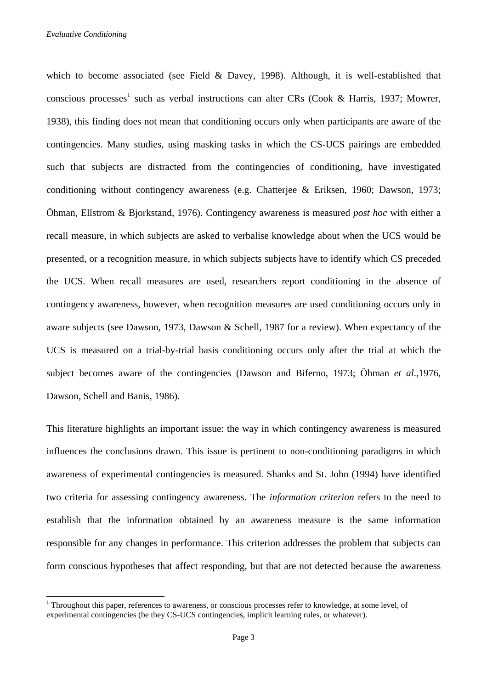$\overline{a}$ 

which to become associated (see Field & Davey, 1998). Although, it is well-established that conscious processes<sup>1</sup> such as verbal instructions can alter CRs (Cook & Harris, 1937; Mowrer, 1938), this finding does not mean that conditioning occurs only when participants are aware of the contingencies. Many studies, using masking tasks in which the CS-UCS pairings are embedded such that subjects are distracted from the contingencies of conditioning, have investigated conditioning without contingency awareness (e.g. Chatterjee & Eriksen, 1960; Dawson, 1973; Öhman, Ellstrom & Bjorkstand, 1976). Contingency awareness is measured *post hoc* with either a recall measure, in which subjects are asked to verbalise knowledge about when the UCS would be presented, or a recognition measure, in which subjects subjects have to identify which CS preceded the UCS. When recall measures are used, researchers report conditioning in the absence of contingency awareness, however, when recognition measures are used conditioning occurs only in aware subjects (see Dawson, 1973, Dawson & Schell, 1987 for a review). When expectancy of the UCS is measured on a trial-by-trial basis conditioning occurs only after the trial at which the subject becomes aware of the contingencies (Dawson and Biferno, 1973; Öhman *et al*.,1976, Dawson, Schell and Banis, 1986).

This literature highlights an important issue: the way in which contingency awareness is measured influences the conclusions drawn. This issue is pertinent to non-conditioning paradigms in which awareness of experimental contingencies is measured. Shanks and St. John (1994) have identified two criteria for assessing contingency awareness. The *information criterion* refers to the need to establish that the information obtained by an awareness measure is the same information responsible for any changes in performance. This criterion addresses the problem that subjects can form conscious hypotheses that affect responding, but that are not detected because the awareness

<sup>&</sup>lt;sup>1</sup> Throughout this paper, references to awareness, or conscious processes refer to knowledge, at some level, of experimental contingencies (be they CS-UCS contingencies, implicit learning rules, or whatever).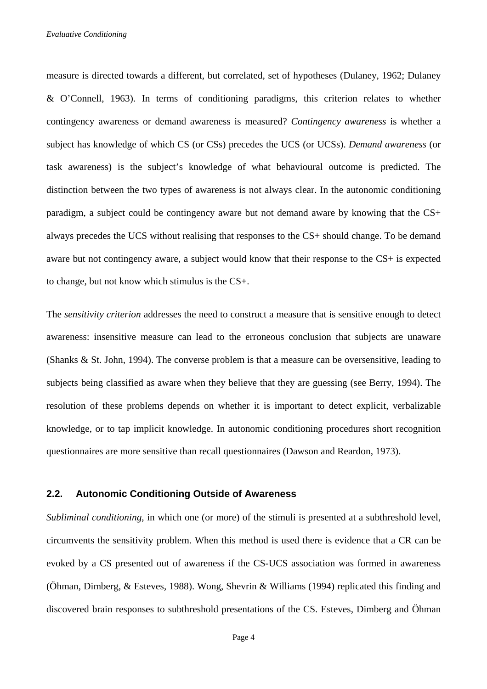measure is directed towards a different, but correlated, set of hypotheses (Dulaney, 1962; Dulaney & O'Connell, 1963). In terms of conditioning paradigms, this criterion relates to whether contingency awareness or demand awareness is measured? *Contingency awareness* is whether a subject has knowledge of which CS (or CSs) precedes the UCS (or UCSs). *Demand awareness* (or task awareness) is the subject's knowledge of what behavioural outcome is predicted. The distinction between the two types of awareness is not always clear. In the autonomic conditioning paradigm, a subject could be contingency aware but not demand aware by knowing that the CS+ always precedes the UCS without realising that responses to the CS+ should change. To be demand aware but not contingency aware, a subject would know that their response to the CS+ is expected to change, but not know which stimulus is the CS+.

The *sensitivity criterion* addresses the need to construct a measure that is sensitive enough to detect awareness: insensitive measure can lead to the erroneous conclusion that subjects are unaware (Shanks & St. John, 1994). The converse problem is that a measure can be oversensitive, leading to subjects being classified as aware when they believe that they are guessing (see Berry, 1994). The resolution of these problems depends on whether it is important to detect explicit, verbalizable knowledge, or to tap implicit knowledge. In autonomic conditioning procedures short recognition questionnaires are more sensitive than recall questionnaires (Dawson and Reardon, 1973).

#### **2.2. Autonomic Conditioning Outside of Awareness**

*Subliminal conditioning*, in which one (or more) of the stimuli is presented at a subthreshold level, circumvents the sensitivity problem. When this method is used there is evidence that a CR can be evoked by a CS presented out of awareness if the CS-UCS association was formed in awareness (Öhman, Dimberg, & Esteves, 1988). Wong, Shevrin & Williams (1994) replicated this finding and discovered brain responses to subthreshold presentations of the CS. Esteves, Dimberg and Öhman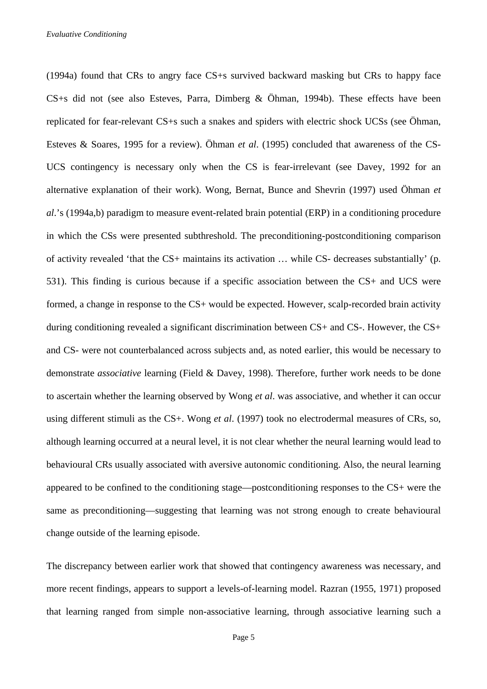(1994a) found that CRs to angry face CS+s survived backward masking but CRs to happy face CS+s did not (see also Esteves, Parra, Dimberg & Öhman, 1994b). These effects have been replicated for fear-relevant CS+s such a snakes and spiders with electric shock UCSs (see Öhman, Esteves & Soares, 1995 for a review). Öhman *et al*. (1995) concluded that awareness of the CS-UCS contingency is necessary only when the CS is fear-irrelevant (see Davey, 1992 for an alternative explanation of their work). Wong, Bernat, Bunce and Shevrin (1997) used Öhman *et al*.'s (1994a,b) paradigm to measure event-related brain potential (ERP) in a conditioning procedure in which the CSs were presented subthreshold. The preconditioning-postconditioning comparison of activity revealed 'that the CS+ maintains its activation … while CS- decreases substantially' (p. 531). This finding is curious because if a specific association between the CS+ and UCS were formed, a change in response to the CS+ would be expected. However, scalp-recorded brain activity during conditioning revealed a significant discrimination between CS+ and CS-. However, the CS+ and CS- were not counterbalanced across subjects and, as noted earlier, this would be necessary to demonstrate *associative* learning (Field & Davey, 1998). Therefore, further work needs to be done to ascertain whether the learning observed by Wong *et al*. was associative, and whether it can occur using different stimuli as the CS+. Wong *et al*. (1997) took no electrodermal measures of CRs, so, although learning occurred at a neural level, it is not clear whether the neural learning would lead to behavioural CRs usually associated with aversive autonomic conditioning. Also, the neural learning appeared to be confined to the conditioning stage—postconditioning responses to the CS+ were the same as preconditioning—suggesting that learning was not strong enough to create behavioural change outside of the learning episode.

The discrepancy between earlier work that showed that contingency awareness was necessary, and more recent findings, appears to support a levels-of-learning model. Razran (1955, 1971) proposed that learning ranged from simple non-associative learning, through associative learning such a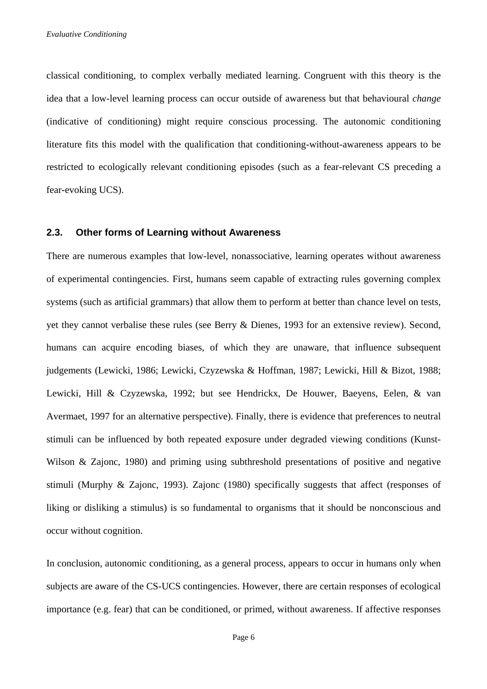classical conditioning, to complex verbally mediated learning. Congruent with this theory is the idea that a low-level learning process can occur outside of awareness but that behavioural *change* (indicative of conditioning) might require conscious processing. The autonomic conditioning literature fits this model with the qualification that conditioning-without-awareness appears to be restricted to ecologically relevant conditioning episodes (such as a fear-relevant CS preceding a fear-evoking UCS).

## **2.3. Other forms of Learning without Awareness**

There are numerous examples that low-level, nonassociative, learning operates without awareness of experimental contingencies. First, humans seem capable of extracting rules governing complex systems (such as artificial grammars) that allow them to perform at better than chance level on tests, yet they cannot verbalise these rules (see Berry & Dienes, 1993 for an extensive review). Second, humans can acquire encoding biases, of which they are unaware, that influence subsequent judgements (Lewicki, 1986; Lewicki, Czyzewska & Hoffman, 1987; Lewicki, Hill & Bizot, 1988; Lewicki, Hill & Czyzewska, 1992; but see Hendrickx, De Houwer, Baeyens, Eelen, & van Avermaet, 1997 for an alternative perspective). Finally, there is evidence that preferences to neutral stimuli can be influenced by both repeated exposure under degraded viewing conditions (Kunst-Wilson & Zajonc, 1980) and priming using subthreshold presentations of positive and negative stimuli (Murphy & Zajonc, 1993). Zajonc (1980) specifically suggests that affect (responses of liking or disliking a stimulus) is so fundamental to organisms that it should be nonconscious and occur without cognition.

In conclusion, autonomic conditioning, as a general process, appears to occur in humans only when subjects are aware of the CS-UCS contingencies. However, there are certain responses of ecological importance (e.g. fear) that can be conditioned, or primed, without awareness. If affective responses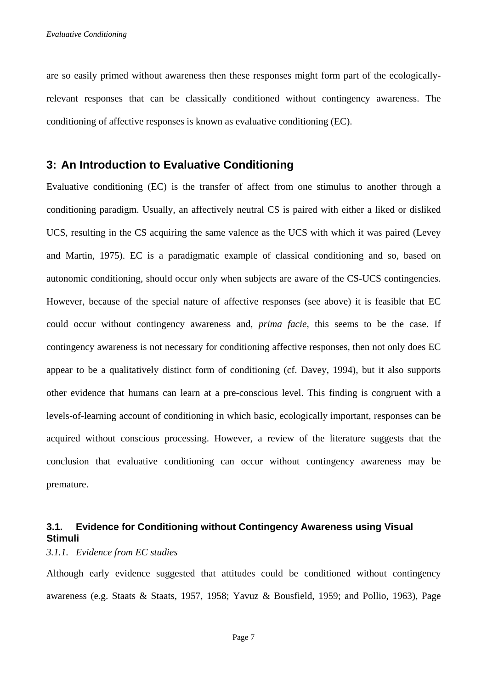are so easily primed without awareness then these responses might form part of the ecologicallyrelevant responses that can be classically conditioned without contingency awareness. The conditioning of affective responses is known as evaluative conditioning (EC).

## **3: An Introduction to Evaluative Conditioning**

Evaluative conditioning (EC) is the transfer of affect from one stimulus to another through a conditioning paradigm. Usually, an affectively neutral CS is paired with either a liked or disliked UCS, resulting in the CS acquiring the same valence as the UCS with which it was paired (Levey and Martin, 1975). EC is a paradigmatic example of classical conditioning and so, based on autonomic conditioning, should occur only when subjects are aware of the CS-UCS contingencies. However, because of the special nature of affective responses (see above) it is feasible that EC could occur without contingency awareness and, *prima facie*, this seems to be the case. If contingency awareness is not necessary for conditioning affective responses, then not only does EC appear to be a qualitatively distinct form of conditioning (cf. Davey, 1994), but it also supports other evidence that humans can learn at a pre-conscious level. This finding is congruent with a levels-of-learning account of conditioning in which basic, ecologically important, responses can be acquired without conscious processing. However, a review of the literature suggests that the conclusion that evaluative conditioning can occur without contingency awareness may be premature.

## **3.1. Evidence for Conditioning without Contingency Awareness using Visual Stimuli**

*3.1.1. Evidence from EC studies* 

Although early evidence suggested that attitudes could be conditioned without contingency awareness (e.g. Staats & Staats, 1957, 1958; Yavuz & Bousfield, 1959; and Pollio, 1963), Page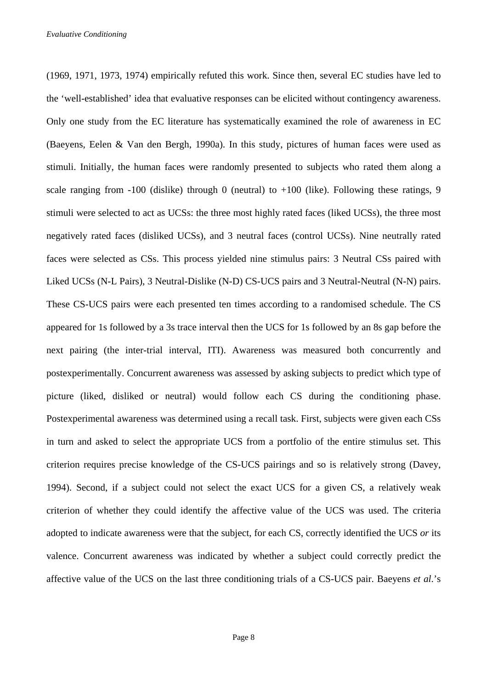(1969, 1971, 1973, 1974) empirically refuted this work. Since then, several EC studies have led to the 'well-established' idea that evaluative responses can be elicited without contingency awareness. Only one study from the EC literature has systematically examined the role of awareness in EC (Baeyens, Eelen & Van den Bergh, 1990a). In this study, pictures of human faces were used as stimuli. Initially, the human faces were randomly presented to subjects who rated them along a scale ranging from  $-100$  (dislike) through 0 (neutral) to  $+100$  (like). Following these ratings, 9 stimuli were selected to act as UCSs: the three most highly rated faces (liked UCSs), the three most negatively rated faces (disliked UCSs), and 3 neutral faces (control UCSs). Nine neutrally rated faces were selected as CSs. This process yielded nine stimulus pairs: 3 Neutral CSs paired with Liked UCSs (N-L Pairs), 3 Neutral-Dislike (N-D) CS-UCS pairs and 3 Neutral-Neutral (N-N) pairs. These CS-UCS pairs were each presented ten times according to a randomised schedule. The CS appeared for 1s followed by a 3s trace interval then the UCS for 1s followed by an 8s gap before the next pairing (the inter-trial interval, ITI). Awareness was measured both concurrently and postexperimentally. Concurrent awareness was assessed by asking subjects to predict which type of picture (liked, disliked or neutral) would follow each CS during the conditioning phase. Postexperimental awareness was determined using a recall task. First, subjects were given each CSs in turn and asked to select the appropriate UCS from a portfolio of the entire stimulus set. This criterion requires precise knowledge of the CS-UCS pairings and so is relatively strong (Davey, 1994). Second, if a subject could not select the exact UCS for a given CS, a relatively weak criterion of whether they could identify the affective value of the UCS was used. The criteria adopted to indicate awareness were that the subject, for each CS, correctly identified the UCS *or* its valence. Concurrent awareness was indicated by whether a subject could correctly predict the affective value of the UCS on the last three conditioning trials of a CS-UCS pair. Baeyens *et al*.'s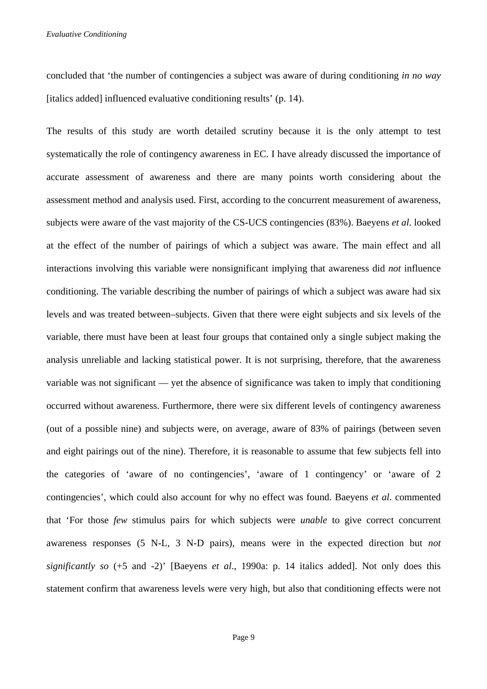concluded that 'the number of contingencies a subject was aware of during conditioning *in no way* [italics added] influenced evaluative conditioning results' (p. 14).

The results of this study are worth detailed scrutiny because it is the only attempt to test systematically the role of contingency awareness in EC. I have already discussed the importance of accurate assessment of awareness and there are many points worth considering about the assessment method and analysis used. First, according to the concurrent measurement of awareness, subjects were aware of the vast majority of the CS-UCS contingencies (83%). Baeyens *et al*. looked at the effect of the number of pairings of which a subject was aware. The main effect and all interactions involving this variable were nonsignificant implying that awareness did *not* influence conditioning. The variable describing the number of pairings of which a subject was aware had six levels and was treated between–subjects. Given that there were eight subjects and six levels of the variable, there must have been at least four groups that contained only a single subject making the analysis unreliable and lacking statistical power. It is not surprising, therefore, that the awareness variable was not significant — yet the absence of significance was taken to imply that conditioning occurred without awareness. Furthermore, there were six different levels of contingency awareness (out of a possible nine) and subjects were, on average, aware of 83% of pairings (between seven and eight pairings out of the nine). Therefore, it is reasonable to assume that few subjects fell into the categories of 'aware of no contingencies', 'aware of 1 contingency' or 'aware of 2 contingencies', which could also account for why no effect was found. Baeyens *et al*. commented that 'For those *few* stimulus pairs for which subjects were *unable* to give correct concurrent awareness responses (5 N-L, 3 N-D pairs), means were in the expected direction but *not significantly so* (+5 and -2)' [Baeyens *et al*., 1990a: p. 14 italics added]. Not only does this statement confirm that awareness levels were very high, but also that conditioning effects were not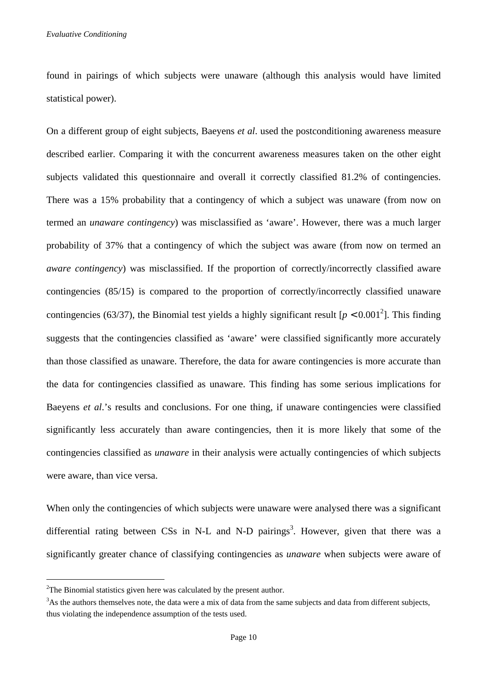found in pairings of which subjects were unaware (although this analysis would have limited statistical power).

On a different group of eight subjects, Baeyens *et al*. used the postconditioning awareness measure described earlier. Comparing it with the concurrent awareness measures taken on the other eight subjects validated this questionnaire and overall it correctly classified 81.2% of contingencies. There was a 15% probability that a contingency of which a subject was unaware (from now on termed an *unaware contingency*) was misclassified as 'aware'. However, there was a much larger probability of 37% that a contingency of which the subject was aware (from now on termed an *aware contingency*) was misclassified. If the proportion of correctly/incorrectly classified aware contingencies (85/15) is compared to the proportion of correctly/incorrectly classified unaware contingencies (63/37), the Binomial test yields a highly significant result  $[p < 0.001^2]$ . This finding suggests that the contingencies classified as 'aware' were classified significantly more accurately than those classified as unaware. Therefore, the data for aware contingencies is more accurate than the data for contingencies classified as unaware. This finding has some serious implications for Baeyens *et al.*'s results and conclusions. For one thing, if unaware contingencies were classified significantly less accurately than aware contingencies, then it is more likely that some of the contingencies classified as *unaware* in their analysis were actually contingencies of which subjects were aware, than vice versa.

When only the contingencies of which subjects were unaware were analysed there was a significant differential rating between CSs in N-L and N-D pairings<sup>3</sup>. However, given that there was a significantly greater chance of classifying contingencies as *unaware* when subjects were aware of

 $\overline{a}$ 

 $2^2$ The Binomial statistics given here was calculated by the present author.

<sup>&</sup>lt;sup>3</sup>As the authors themselves note, the data were a mix of data from the same subjects and data from different subjects, thus violating the independence assumption of the tests used.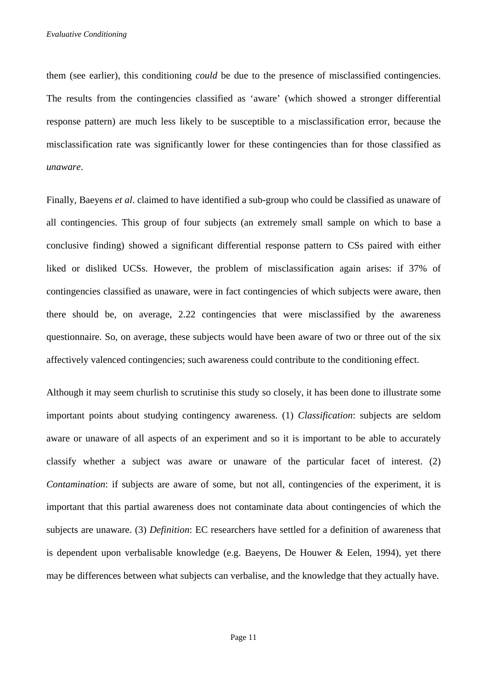them (see earlier), this conditioning *could* be due to the presence of misclassified contingencies. The results from the contingencies classified as 'aware' (which showed a stronger differential response pattern) are much less likely to be susceptible to a misclassification error, because the misclassification rate was significantly lower for these contingencies than for those classified as *unaware*.

Finally, Baeyens *et al*. claimed to have identified a sub-group who could be classified as unaware of all contingencies. This group of four subjects (an extremely small sample on which to base a conclusive finding) showed a significant differential response pattern to CSs paired with either liked or disliked UCSs. However, the problem of misclassification again arises: if 37% of contingencies classified as unaware, were in fact contingencies of which subjects were aware, then there should be, on average, 2.22 contingencies that were misclassified by the awareness questionnaire. So, on average, these subjects would have been aware of two or three out of the six affectively valenced contingencies; such awareness could contribute to the conditioning effect.

Although it may seem churlish to scrutinise this study so closely, it has been done to illustrate some important points about studying contingency awareness. (1) *Classification*: subjects are seldom aware or unaware of all aspects of an experiment and so it is important to be able to accurately classify whether a subject was aware or unaware of the particular facet of interest. (2) *Contamination*: if subjects are aware of some, but not all, contingencies of the experiment, it is important that this partial awareness does not contaminate data about contingencies of which the subjects are unaware. (3) *Definition*: EC researchers have settled for a definition of awareness that is dependent upon verbalisable knowledge (e.g. Baeyens, De Houwer & Eelen, 1994), yet there may be differences between what subjects can verbalise, and the knowledge that they actually have.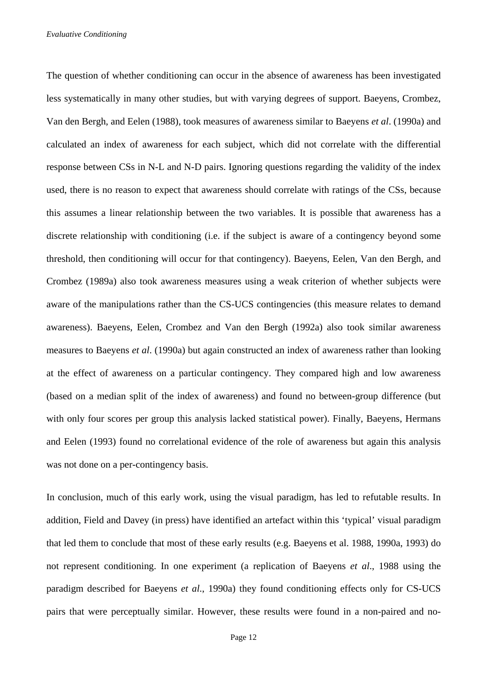*Evaluative Conditioning* 

The question of whether conditioning can occur in the absence of awareness has been investigated less systematically in many other studies, but with varying degrees of support. Baeyens, Crombez, Van den Bergh, and Eelen (1988), took measures of awareness similar to Baeyens *et al*. (1990a) and calculated an index of awareness for each subject, which did not correlate with the differential response between CSs in N-L and N-D pairs. Ignoring questions regarding the validity of the index used, there is no reason to expect that awareness should correlate with ratings of the CSs, because this assumes a linear relationship between the two variables. It is possible that awareness has a discrete relationship with conditioning (i.e. if the subject is aware of a contingency beyond some threshold, then conditioning will occur for that contingency). Baeyens, Eelen, Van den Bergh, and Crombez (1989a) also took awareness measures using a weak criterion of whether subjects were aware of the manipulations rather than the CS-UCS contingencies (this measure relates to demand awareness). Baeyens, Eelen, Crombez and Van den Bergh (1992a) also took similar awareness measures to Baeyens *et al*. (1990a) but again constructed an index of awareness rather than looking at the effect of awareness on a particular contingency. They compared high and low awareness (based on a median split of the index of awareness) and found no between-group difference (but with only four scores per group this analysis lacked statistical power). Finally, Baeyens, Hermans and Eelen (1993) found no correlational evidence of the role of awareness but again this analysis was not done on a per-contingency basis.

In conclusion, much of this early work, using the visual paradigm, has led to refutable results. In addition, Field and Davey (in press) have identified an artefact within this 'typical' visual paradigm that led them to conclude that most of these early results (e.g. Baeyens et al. 1988, 1990a, 1993) do not represent conditioning. In one experiment (a replication of Baeyens *et al*., 1988 using the paradigm described for Baeyens *et al*., 1990a) they found conditioning effects only for CS-UCS pairs that were perceptually similar. However, these results were found in a non-paired and no-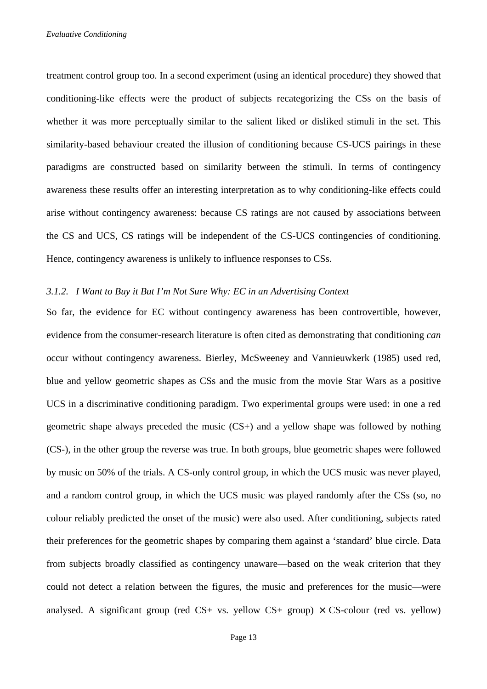treatment control group too. In a second experiment (using an identical procedure) they showed that conditioning-like effects were the product of subjects recategorizing the CSs on the basis of whether it was more perceptually similar to the salient liked or disliked stimuli in the set. This similarity-based behaviour created the illusion of conditioning because CS-UCS pairings in these paradigms are constructed based on similarity between the stimuli. In terms of contingency awareness these results offer an interesting interpretation as to why conditioning-like effects could arise without contingency awareness: because CS ratings are not caused by associations between the CS and UCS, CS ratings will be independent of the CS-UCS contingencies of conditioning. Hence, contingency awareness is unlikely to influence responses to CSs.

## *3.1.2. I Want to Buy it But I'm Not Sure Why: EC in an Advertising Context*

So far, the evidence for EC without contingency awareness has been controvertible, however, evidence from the consumer-research literature is often cited as demonstrating that conditioning *can* occur without contingency awareness. Bierley, McSweeney and Vannieuwkerk (1985) used red, blue and yellow geometric shapes as CSs and the music from the movie Star Wars as a positive UCS in a discriminative conditioning paradigm. Two experimental groups were used: in one a red geometric shape always preceded the music (CS+) and a yellow shape was followed by nothing (CS-), in the other group the reverse was true. In both groups, blue geometric shapes were followed by music on 50% of the trials. A CS-only control group, in which the UCS music was never played, and a random control group, in which the UCS music was played randomly after the CSs (so, no colour reliably predicted the onset of the music) were also used. After conditioning, subjects rated their preferences for the geometric shapes by comparing them against a 'standard' blue circle. Data from subjects broadly classified as contingency unaware—based on the weak criterion that they could not detect a relation between the figures, the music and preferences for the music—were analysed. A significant group (red  $CS+$  vs. yellow  $CS+$  group)  $\times CS$ -colour (red vs. yellow)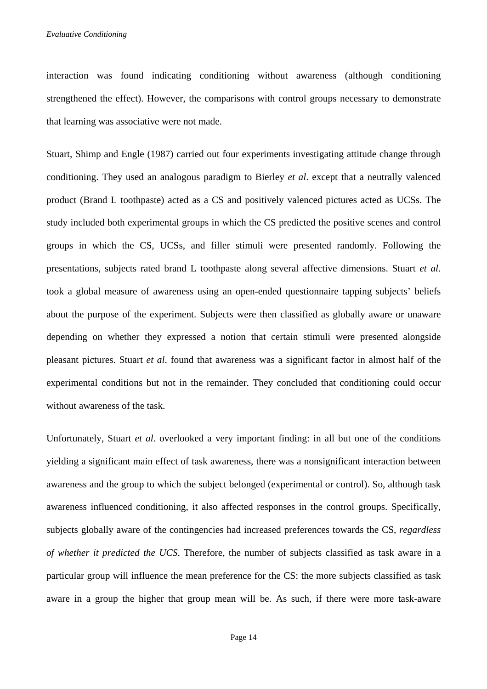interaction was found indicating conditioning without awareness (although conditioning strengthened the effect). However, the comparisons with control groups necessary to demonstrate that learning was associative were not made.

Stuart, Shimp and Engle (1987) carried out four experiments investigating attitude change through conditioning. They used an analogous paradigm to Bierley *et al*. except that a neutrally valenced product (Brand L toothpaste) acted as a CS and positively valenced pictures acted as UCSs. The study included both experimental groups in which the CS predicted the positive scenes and control groups in which the CS, UCSs, and filler stimuli were presented randomly. Following the presentations, subjects rated brand L toothpaste along several affective dimensions. Stuart *et al*. took a global measure of awareness using an open-ended questionnaire tapping subjects' beliefs about the purpose of the experiment. Subjects were then classified as globally aware or unaware depending on whether they expressed a notion that certain stimuli were presented alongside pleasant pictures. Stuart *et al*. found that awareness was a significant factor in almost half of the experimental conditions but not in the remainder. They concluded that conditioning could occur without awareness of the task.

Unfortunately, Stuart *et al*. overlooked a very important finding: in all but one of the conditions yielding a significant main effect of task awareness, there was a nonsignificant interaction between awareness and the group to which the subject belonged (experimental or control). So, although task awareness influenced conditioning, it also affected responses in the control groups. Specifically, subjects globally aware of the contingencies had increased preferences towards the CS, *regardless of whether it predicted the UCS*. Therefore, the number of subjects classified as task aware in a particular group will influence the mean preference for the CS: the more subjects classified as task aware in a group the higher that group mean will be. As such, if there were more task-aware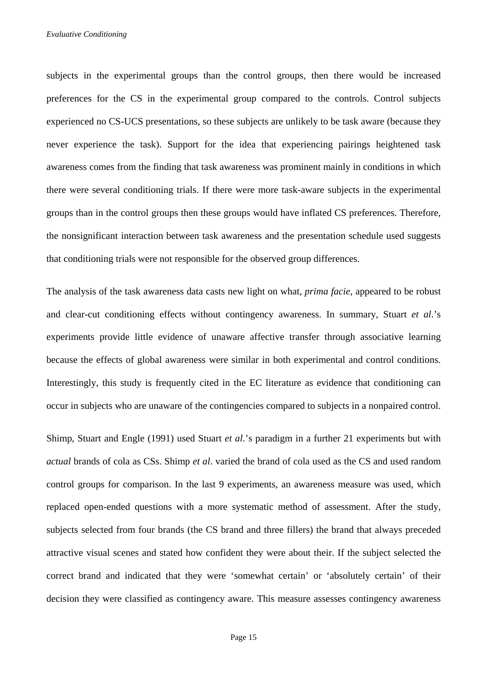subjects in the experimental groups than the control groups, then there would be increased preferences for the CS in the experimental group compared to the controls. Control subjects experienced no CS-UCS presentations, so these subjects are unlikely to be task aware (because they never experience the task). Support for the idea that experiencing pairings heightened task awareness comes from the finding that task awareness was prominent mainly in conditions in which there were several conditioning trials. If there were more task-aware subjects in the experimental groups than in the control groups then these groups would have inflated CS preferences. Therefore, the nonsignificant interaction between task awareness and the presentation schedule used suggests that conditioning trials were not responsible for the observed group differences.

The analysis of the task awareness data casts new light on what, *prima facie*, appeared to be robust and clear-cut conditioning effects without contingency awareness. In summary, Stuart *et al*.'s experiments provide little evidence of unaware affective transfer through associative learning because the effects of global awareness were similar in both experimental and control conditions. Interestingly, this study is frequently cited in the EC literature as evidence that conditioning can occur in subjects who are unaware of the contingencies compared to subjects in a nonpaired control.

Shimp, Stuart and Engle (1991) used Stuart *et al*.'s paradigm in a further 21 experiments but with *actual* brands of cola as CSs. Shimp *et al*. varied the brand of cola used as the CS and used random control groups for comparison. In the last 9 experiments, an awareness measure was used, which replaced open-ended questions with a more systematic method of assessment. After the study, subjects selected from four brands (the CS brand and three fillers) the brand that always preceded attractive visual scenes and stated how confident they were about their. If the subject selected the correct brand and indicated that they were 'somewhat certain' or 'absolutely certain' of their decision they were classified as contingency aware. This measure assesses contingency awareness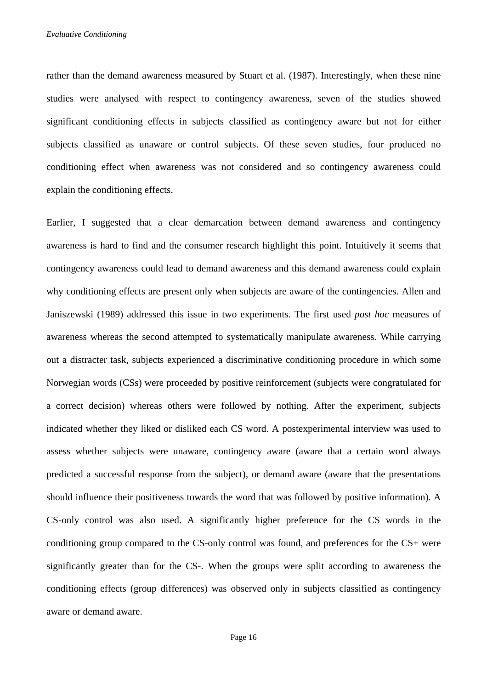*Evaluative Conditioning* 

rather than the demand awareness measured by Stuart et al. (1987). Interestingly, when these nine studies were analysed with respect to contingency awareness, seven of the studies showed significant conditioning effects in subjects classified as contingency aware but not for either subjects classified as unaware or control subjects. Of these seven studies, four produced no conditioning effect when awareness was not considered and so contingency awareness could explain the conditioning effects.

Earlier, I suggested that a clear demarcation between demand awareness and contingency awareness is hard to find and the consumer research highlight this point. Intuitively it seems that contingency awareness could lead to demand awareness and this demand awareness could explain why conditioning effects are present only when subjects are aware of the contingencies. Allen and Janiszewski (1989) addressed this issue in two experiments. The first used *post hoc* measures of awareness whereas the second attempted to systematically manipulate awareness. While carrying out a distracter task, subjects experienced a discriminative conditioning procedure in which some Norwegian words (CSs) were proceeded by positive reinforcement (subjects were congratulated for a correct decision) whereas others were followed by nothing. After the experiment, subjects indicated whether they liked or disliked each CS word. A postexperimental interview was used to assess whether subjects were unaware, contingency aware (aware that a certain word always predicted a successful response from the subject), or demand aware (aware that the presentations should influence their positiveness towards the word that was followed by positive information). A CS-only control was also used. A significantly higher preference for the CS words in the conditioning group compared to the CS-only control was found, and preferences for the CS+ were significantly greater than for the CS-. When the groups were split according to awareness the conditioning effects (group differences) was observed only in subjects classified as contingency aware or demand aware.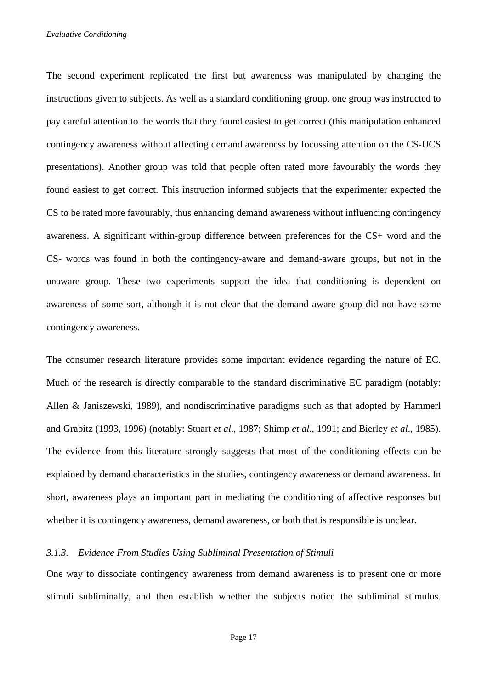*Evaluative Conditioning* 

The second experiment replicated the first but awareness was manipulated by changing the instructions given to subjects. As well as a standard conditioning group, one group was instructed to pay careful attention to the words that they found easiest to get correct (this manipulation enhanced contingency awareness without affecting demand awareness by focussing attention on the CS-UCS presentations). Another group was told that people often rated more favourably the words they found easiest to get correct. This instruction informed subjects that the experimenter expected the CS to be rated more favourably, thus enhancing demand awareness without influencing contingency awareness. A significant within-group difference between preferences for the CS+ word and the CS- words was found in both the contingency-aware and demand-aware groups, but not in the unaware group. These two experiments support the idea that conditioning is dependent on awareness of some sort, although it is not clear that the demand aware group did not have some contingency awareness.

The consumer research literature provides some important evidence regarding the nature of EC. Much of the research is directly comparable to the standard discriminative EC paradigm (notably: Allen & Janiszewski, 1989), and nondiscriminative paradigms such as that adopted by Hammerl and Grabitz (1993, 1996) (notably: Stuart *et al*., 1987; Shimp *et al*., 1991; and Bierley *et al*., 1985). The evidence from this literature strongly suggests that most of the conditioning effects can be explained by demand characteristics in the studies, contingency awareness or demand awareness. In short, awareness plays an important part in mediating the conditioning of affective responses but whether it is contingency awareness, demand awareness, or both that is responsible is unclear.

## *3.1.3. Evidence From Studies Using Subliminal Presentation of Stimuli*

One way to dissociate contingency awareness from demand awareness is to present one or more stimuli subliminally, and then establish whether the subjects notice the subliminal stimulus.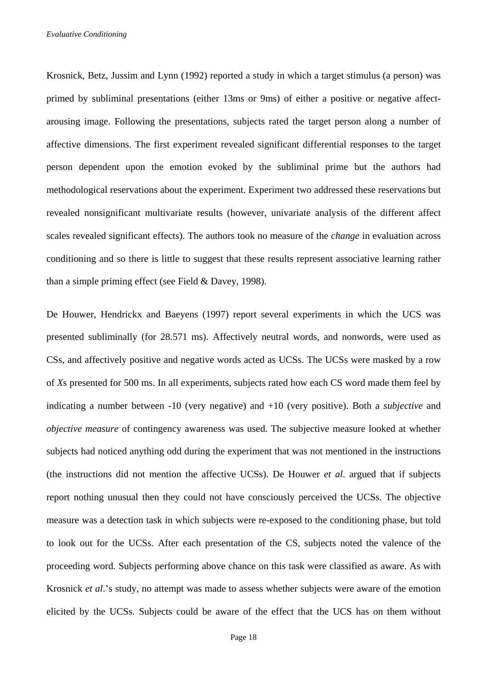Krosnick, Betz, Jussim and Lynn (1992) reported a study in which a target stimulus (a person) was primed by subliminal presentations (either 13ms or 9ms) of either a positive or negative affectarousing image. Following the presentations, subjects rated the target person along a number of affective dimensions. The first experiment revealed significant differential responses to the target person dependent upon the emotion evoked by the subliminal prime but the authors had methodological reservations about the experiment. Experiment two addressed these reservations but revealed nonsignificant multivariate results (however, univariate analysis of the different affect scales revealed significant effects). The authors took no measure of the *change* in evaluation across conditioning and so there is little to suggest that these results represent associative learning rather than a simple priming effect (see Field & Davey, 1998).

De Houwer, Hendrickx and Baeyens (1997) report several experiments in which the UCS was presented subliminally (for 28.571 ms). Affectively neutral words, and nonwords, were used as CSs, and affectively positive and negative words acted as UCSs. The UCSs were masked by a row of *X*s presented for 500 ms. In all experiments, subjects rated how each CS word made them feel by indicating a number between -10 (very negative) and +10 (very positive). Both a *subjective* and *objective measure* of contingency awareness was used. The subjective measure looked at whether subjects had noticed anything odd during the experiment that was not mentioned in the instructions (the instructions did not mention the affective UCSs). De Houwer *et al*. argued that if subjects report nothing unusual then they could not have consciously perceived the UCSs. The objective measure was a detection task in which subjects were re-exposed to the conditioning phase, but told to look out for the UCSs. After each presentation of the CS, subjects noted the valence of the proceeding word. Subjects performing above chance on this task were classified as aware. As with Krosnick *et al*.'s study, no attempt was made to assess whether subjects were aware of the emotion elicited by the UCSs. Subjects could be aware of the effect that the UCS has on them without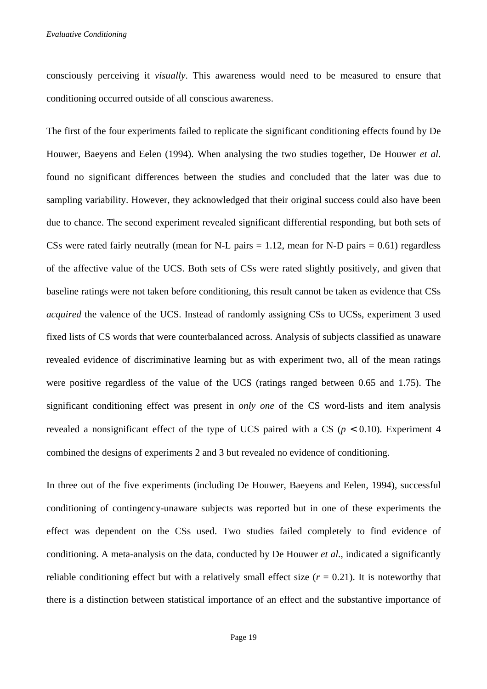consciously perceiving it *visually*. This awareness would need to be measured to ensure that conditioning occurred outside of all conscious awareness.

The first of the four experiments failed to replicate the significant conditioning effects found by De Houwer, Baeyens and Eelen (1994). When analysing the two studies together, De Houwer *et al*. found no significant differences between the studies and concluded that the later was due to sampling variability. However, they acknowledged that their original success could also have been due to chance. The second experiment revealed significant differential responding, but both sets of CSs were rated fairly neutrally (mean for N-L pairs  $= 1.12$ , mean for N-D pairs  $= 0.61$ ) regardless of the affective value of the UCS. Both sets of CSs were rated slightly positively, and given that baseline ratings were not taken before conditioning, this result cannot be taken as evidence that CSs *acquired* the valence of the UCS. Instead of randomly assigning CSs to UCSs, experiment 3 used fixed lists of CS words that were counterbalanced across. Analysis of subjects classified as unaware revealed evidence of discriminative learning but as with experiment two, all of the mean ratings were positive regardless of the value of the UCS (ratings ranged between 0.65 and 1.75). The significant conditioning effect was present in *only one* of the CS word-lists and item analysis revealed a nonsignificant effect of the type of UCS paired with a CS ( $p < 0.10$ ). Experiment 4 combined the designs of experiments 2 and 3 but revealed no evidence of conditioning.

In three out of the five experiments (including De Houwer, Baeyens and Eelen, 1994), successful conditioning of contingency-unaware subjects was reported but in one of these experiments the effect was dependent on the CSs used. Two studies failed completely to find evidence of conditioning. A meta-analysis on the data, conducted by De Houwer *et al*., indicated a significantly reliable conditioning effect but with a relatively small effect size  $(r = 0.21)$ . It is noteworthy that there is a distinction between statistical importance of an effect and the substantive importance of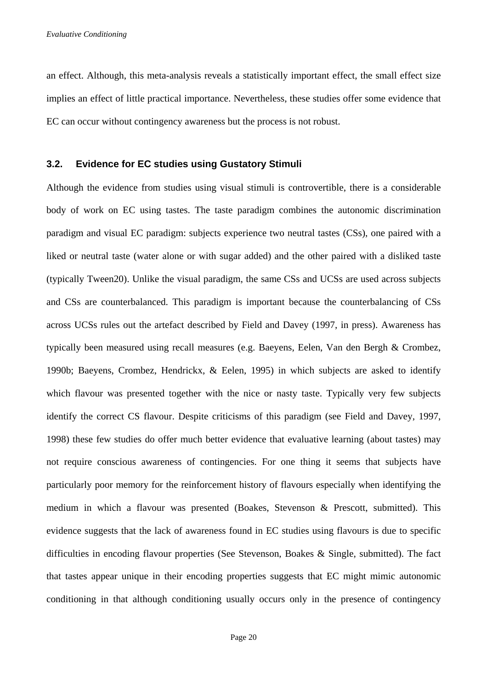an effect. Although, this meta-analysis reveals a statistically important effect, the small effect size implies an effect of little practical importance. Nevertheless, these studies offer some evidence that EC can occur without contingency awareness but the process is not robust.

## **3.2. Evidence for EC studies using Gustatory Stimuli**

Although the evidence from studies using visual stimuli is controvertible, there is a considerable body of work on EC using tastes. The taste paradigm combines the autonomic discrimination paradigm and visual EC paradigm: subjects experience two neutral tastes (CSs), one paired with a liked or neutral taste (water alone or with sugar added) and the other paired with a disliked taste (typically Tween20). Unlike the visual paradigm, the same CSs and UCSs are used across subjects and CSs are counterbalanced. This paradigm is important because the counterbalancing of CSs across UCSs rules out the artefact described by Field and Davey (1997, in press). Awareness has typically been measured using recall measures (e.g. Baeyens, Eelen, Van den Bergh & Crombez, 1990b; Baeyens, Crombez, Hendrickx, & Eelen, 1995) in which subjects are asked to identify which flavour was presented together with the nice or nasty taste. Typically very few subjects identify the correct CS flavour. Despite criticisms of this paradigm (see Field and Davey, 1997, 1998) these few studies do offer much better evidence that evaluative learning (about tastes) may not require conscious awareness of contingencies. For one thing it seems that subjects have particularly poor memory for the reinforcement history of flavours especially when identifying the medium in which a flavour was presented (Boakes, Stevenson & Prescott, submitted). This evidence suggests that the lack of awareness found in EC studies using flavours is due to specific difficulties in encoding flavour properties (See Stevenson, Boakes & Single, submitted). The fact that tastes appear unique in their encoding properties suggests that EC might mimic autonomic conditioning in that although conditioning usually occurs only in the presence of contingency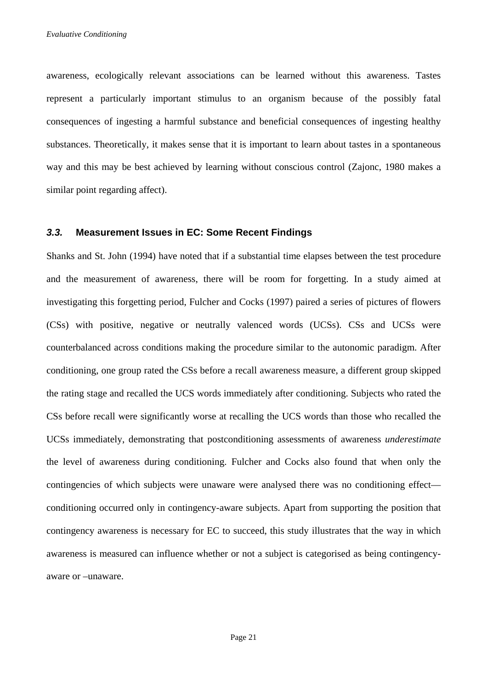awareness, ecologically relevant associations can be learned without this awareness. Tastes represent a particularly important stimulus to an organism because of the possibly fatal consequences of ingesting a harmful substance and beneficial consequences of ingesting healthy substances. Theoretically, it makes sense that it is important to learn about tastes in a spontaneous way and this may be best achieved by learning without conscious control (Zajonc, 1980 makes a similar point regarding affect).

## **3.3. Measurement Issues in EC: Some Recent Findings**

Shanks and St. John (1994) have noted that if a substantial time elapses between the test procedure and the measurement of awareness, there will be room for forgetting. In a study aimed at investigating this forgetting period, Fulcher and Cocks (1997) paired a series of pictures of flowers (CSs) with positive, negative or neutrally valenced words (UCSs). CSs and UCSs were counterbalanced across conditions making the procedure similar to the autonomic paradigm. After conditioning, one group rated the CSs before a recall awareness measure, a different group skipped the rating stage and recalled the UCS words immediately after conditioning. Subjects who rated the CSs before recall were significantly worse at recalling the UCS words than those who recalled the UCSs immediately, demonstrating that postconditioning assessments of awareness *underestimate* the level of awareness during conditioning. Fulcher and Cocks also found that when only the contingencies of which subjects were unaware were analysed there was no conditioning effect conditioning occurred only in contingency-aware subjects. Apart from supporting the position that contingency awareness is necessary for EC to succeed, this study illustrates that the way in which awareness is measured can influence whether or not a subject is categorised as being contingencyaware or –unaware.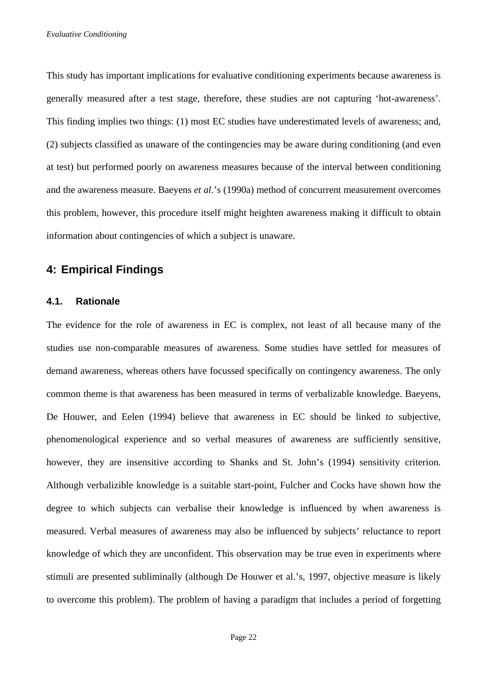This study has important implications for evaluative conditioning experiments because awareness is generally measured after a test stage, therefore, these studies are not capturing 'hot-awareness'. This finding implies two things: (1) most EC studies have underestimated levels of awareness; and, (2) subjects classified as unaware of the contingencies may be aware during conditioning (and even at test) but performed poorly on awareness measures because of the interval between conditioning and the awareness measure. Baeyens *et al*.'s (1990a) method of concurrent measurement overcomes this problem, however, this procedure itself might heighten awareness making it difficult to obtain information about contingencies of which a subject is unaware.

## **4: Empirical Findings**

## **4.1. Rationale**

The evidence for the role of awareness in EC is complex, not least of all because many of the studies use non-comparable measures of awareness. Some studies have settled for measures of demand awareness, whereas others have focussed specifically on contingency awareness. The only common theme is that awareness has been measured in terms of verbalizable knowledge. Baeyens, De Houwer, and Eelen (1994) believe that awareness in EC should be linked to subjective, phenomenological experience and so verbal measures of awareness are sufficiently sensitive, however, they are insensitive according to Shanks and St. John's (1994) sensitivity criterion. Although verbalizible knowledge is a suitable start-point, Fulcher and Cocks have shown how the degree to which subjects can verbalise their knowledge is influenced by when awareness is measured. Verbal measures of awareness may also be influenced by subjects' reluctance to report knowledge of which they are unconfident. This observation may be true even in experiments where stimuli are presented subliminally (although De Houwer et al.'s, 1997, objective measure is likely to overcome this problem). The problem of having a paradigm that includes a period of forgetting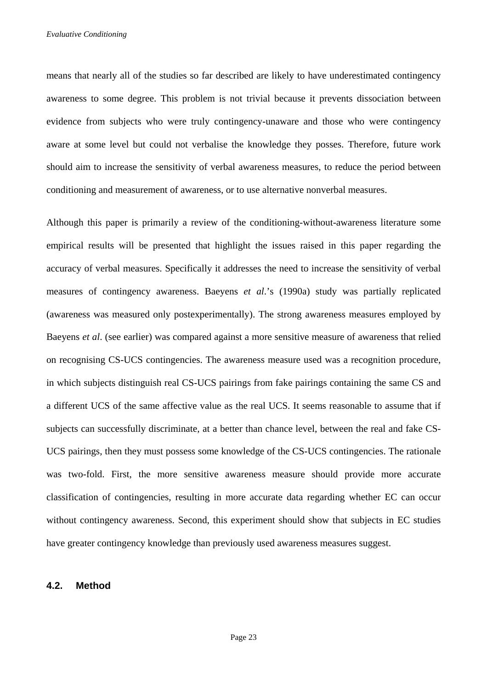means that nearly all of the studies so far described are likely to have underestimated contingency awareness to some degree. This problem is not trivial because it prevents dissociation between evidence from subjects who were truly contingency-unaware and those who were contingency aware at some level but could not verbalise the knowledge they posses. Therefore, future work should aim to increase the sensitivity of verbal awareness measures, to reduce the period between conditioning and measurement of awareness, or to use alternative nonverbal measures.

Although this paper is primarily a review of the conditioning-without-awareness literature some empirical results will be presented that highlight the issues raised in this paper regarding the accuracy of verbal measures. Specifically it addresses the need to increase the sensitivity of verbal measures of contingency awareness. Baeyens *et al*.'s (1990a) study was partially replicated (awareness was measured only postexperimentally). The strong awareness measures employed by Baeyens *et al*. (see earlier) was compared against a more sensitive measure of awareness that relied on recognising CS-UCS contingencies. The awareness measure used was a recognition procedure, in which subjects distinguish real CS-UCS pairings from fake pairings containing the same CS and a different UCS of the same affective value as the real UCS. It seems reasonable to assume that if subjects can successfully discriminate, at a better than chance level, between the real and fake CS-UCS pairings, then they must possess some knowledge of the CS-UCS contingencies. The rationale was two-fold. First, the more sensitive awareness measure should provide more accurate classification of contingencies, resulting in more accurate data regarding whether EC can occur without contingency awareness. Second, this experiment should show that subjects in EC studies have greater contingency knowledge than previously used awareness measures suggest.

## **4.2. Method**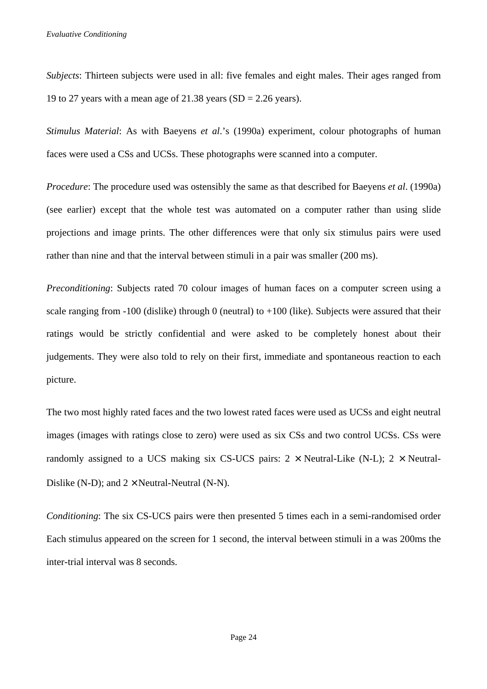*Subjects*: Thirteen subjects were used in all: five females and eight males. Their ages ranged from 19 to 27 years with a mean age of 21.38 years ( $SD = 2.26$  years).

*Stimulus Material*: As with Baeyens *et al*.'s (1990a) experiment, colour photographs of human faces were used a CSs and UCSs. These photographs were scanned into a computer.

*Procedure*: The procedure used was ostensibly the same as that described for Baeyens *et al*. (1990a) (see earlier) except that the whole test was automated on a computer rather than using slide projections and image prints. The other differences were that only six stimulus pairs were used rather than nine and that the interval between stimuli in a pair was smaller (200 ms).

*Preconditioning*: Subjects rated 70 colour images of human faces on a computer screen using a scale ranging from  $-100$  (dislike) through 0 (neutral) to  $+100$  (like). Subjects were assured that their ratings would be strictly confidential and were asked to be completely honest about their judgements. They were also told to rely on their first, immediate and spontaneous reaction to each picture.

The two most highly rated faces and the two lowest rated faces were used as UCSs and eight neutral images (images with ratings close to zero) were used as six CSs and two control UCSs. CSs were randomly assigned to a UCS making six CS-UCS pairs:  $2 \times$  Neutral-Like (N-L);  $2 \times$  Neutral-Dislike (N-D); and  $2 \times$  Neutral-Neutral (N-N).

*Conditioning*: The six CS-UCS pairs were then presented 5 times each in a semi-randomised order Each stimulus appeared on the screen for 1 second, the interval between stimuli in a was 200ms the inter-trial interval was 8 seconds.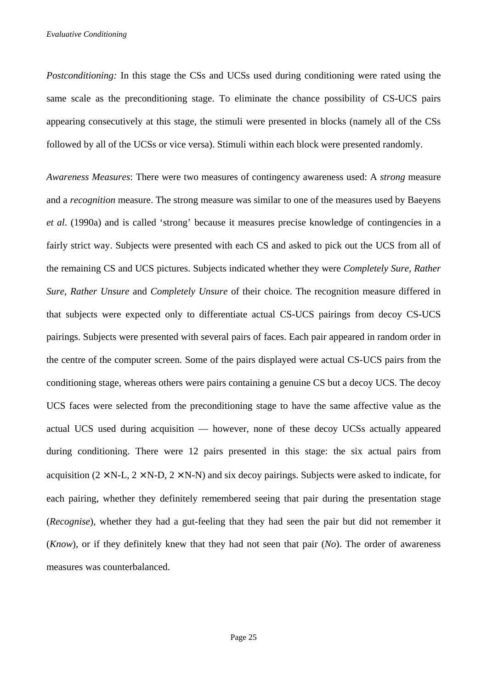*Postconditioning:* In this stage the CSs and UCSs used during conditioning were rated using the same scale as the preconditioning stage. To eliminate the chance possibility of CS-UCS pairs appearing consecutively at this stage, the stimuli were presented in blocks (namely all of the CSs followed by all of the UCSs or vice versa). Stimuli within each block were presented randomly.

*Awareness Measures*: There were two measures of contingency awareness used: A *strong* measure and a *recognition* measure. The strong measure was similar to one of the measures used by Baeyens *et al*. (1990a) and is called 'strong' because it measures precise knowledge of contingencies in a fairly strict way. Subjects were presented with each CS and asked to pick out the UCS from all of the remaining CS and UCS pictures. Subjects indicated whether they were *Completely Sure*, *Rather Sure*, *Rather Unsure* and *Completely Unsure* of their choice. The recognition measure differed in that subjects were expected only to differentiate actual CS-UCS pairings from decoy CS-UCS pairings. Subjects were presented with several pairs of faces. Each pair appeared in random order in the centre of the computer screen. Some of the pairs displayed were actual CS-UCS pairs from the conditioning stage, whereas others were pairs containing a genuine CS but a decoy UCS. The decoy UCS faces were selected from the preconditioning stage to have the same affective value as the actual UCS used during acquisition — however, none of these decoy UCSs actually appeared during conditioning. There were 12 pairs presented in this stage: the six actual pairs from acquisition ( $2 \times N$ -L,  $2 \times N$ -D,  $2 \times N$ -N) and six decoy pairings. Subjects were asked to indicate, for each pairing, whether they definitely remembered seeing that pair during the presentation stage (*Recognise*), whether they had a gut-feeling that they had seen the pair but did not remember it (*Know*), or if they definitely knew that they had not seen that pair (*No*). The order of awareness measures was counterbalanced.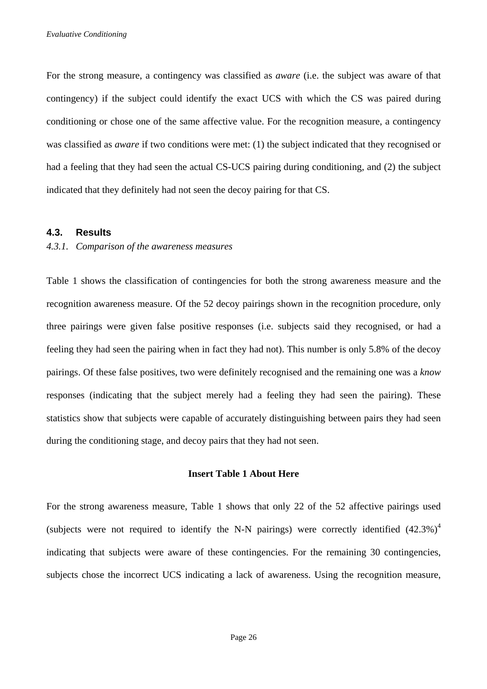For the strong measure, a contingency was classified as *aware* (i.e. the subject was aware of that contingency) if the subject could identify the exact UCS with which the CS was paired during conditioning or chose one of the same affective value. For the recognition measure, a contingency was classified as *aware* if two conditions were met: (1) the subject indicated that they recognised or had a feeling that they had seen the actual CS-UCS pairing during conditioning, and (2) the subject indicated that they definitely had not seen the decoy pairing for that CS.

#### **4.3. Results**

#### *4.3.1. Comparison of the awareness measures*

Table 1 shows the classification of contingencies for both the strong awareness measure and the recognition awareness measure. Of the 52 decoy pairings shown in the recognition procedure, only three pairings were given false positive responses (i.e. subjects said they recognised, or had a feeling they had seen the pairing when in fact they had not). This number is only 5.8% of the decoy pairings. Of these false positives, two were definitely recognised and the remaining one was a *know* responses (indicating that the subject merely had a feeling they had seen the pairing). These statistics show that subjects were capable of accurately distinguishing between pairs they had seen during the conditioning stage, and decoy pairs that they had not seen.

#### **Insert Table 1 About Here**

For the strong awareness measure, Table 1 shows that only 22 of the 52 affective pairings used (subjects were not required to identify the N-N pairings) were correctly identified  $(42.3\%)^4$ indicating that subjects were aware of these contingencies. For the remaining 30 contingencies, subjects chose the incorrect UCS indicating a lack of awareness. Using the recognition measure,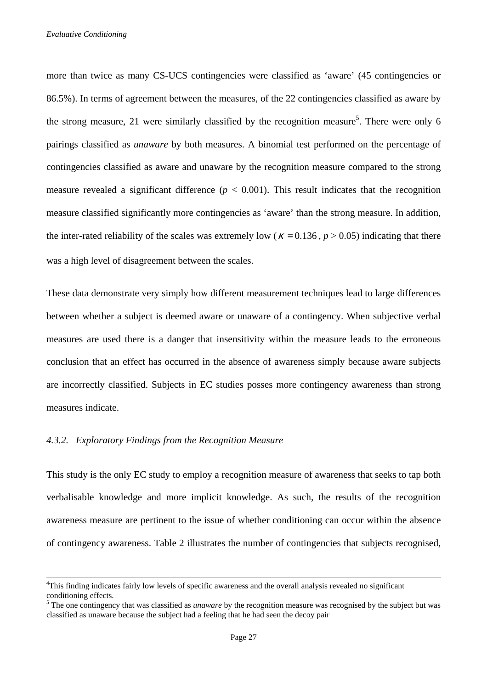more than twice as many CS-UCS contingencies were classified as 'aware' (45 contingencies or 86.5%). In terms of agreement between the measures, of the 22 contingencies classified as aware by the strong measure, 21 were similarly classified by the recognition measure<sup>5</sup>. There were only 6 pairings classified as *unaware* by both measures. A binomial test performed on the percentage of contingencies classified as aware and unaware by the recognition measure compared to the strong measure revealed a significant difference  $(p < 0.001)$ . This result indicates that the recognition measure classified significantly more contingencies as 'aware' than the strong measure. In addition, the inter-rated reliability of the scales was extremely low ( $\kappa = 0.136$ ,  $p > 0.05$ ) indicating that there was a high level of disagreement between the scales.

These data demonstrate very simply how different measurement techniques lead to large differences between whether a subject is deemed aware or unaware of a contingency. When subjective verbal measures are used there is a danger that insensitivity within the measure leads to the erroneous conclusion that an effect has occurred in the absence of awareness simply because aware subjects are incorrectly classified. Subjects in EC studies posses more contingency awareness than strong measures indicate.

## *4.3.2. Exploratory Findings from the Recognition Measure*

 $\overline{a}$ 

This study is the only EC study to employ a recognition measure of awareness that seeks to tap both verbalisable knowledge and more implicit knowledge. As such, the results of the recognition awareness measure are pertinent to the issue of whether conditioning can occur within the absence of contingency awareness. Table 2 illustrates the number of contingencies that subjects recognised,

<sup>&</sup>lt;sup>4</sup>This finding indicates fairly low levels of specific awareness and the overall analysis revealed no significant conditioning effects.

<sup>&</sup>lt;sup>5</sup> The one contingency that was classified as *unaware* by the recognition measure was recognised by the subject but was classified as unaware because the subject had a feeling that he had seen the decoy pair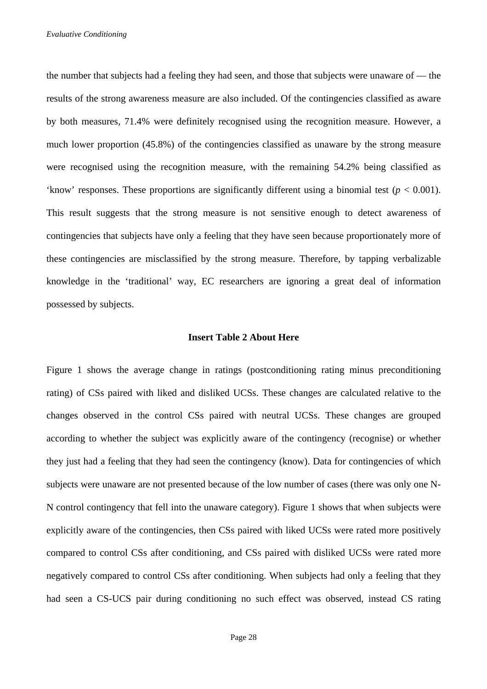the number that subjects had a feeling they had seen, and those that subjects were unaware of — the results of the strong awareness measure are also included. Of the contingencies classified as aware by both measures, 71.4% were definitely recognised using the recognition measure. However, a much lower proportion (45.8%) of the contingencies classified as unaware by the strong measure were recognised using the recognition measure, with the remaining 54.2% being classified as 'know' responses. These proportions are significantly different using a binomial test ( $p < 0.001$ ). This result suggests that the strong measure is not sensitive enough to detect awareness of contingencies that subjects have only a feeling that they have seen because proportionately more of these contingencies are misclassified by the strong measure. Therefore, by tapping verbalizable knowledge in the 'traditional' way, EC researchers are ignoring a great deal of information possessed by subjects.

## **Insert Table 2 About Here**

Figure 1 shows the average change in ratings (postconditioning rating minus preconditioning rating) of CSs paired with liked and disliked UCSs. These changes are calculated relative to the changes observed in the control CSs paired with neutral UCSs. These changes are grouped according to whether the subject was explicitly aware of the contingency (recognise) or whether they just had a feeling that they had seen the contingency (know). Data for contingencies of which subjects were unaware are not presented because of the low number of cases (there was only one N-N control contingency that fell into the unaware category). Figure 1 shows that when subjects were explicitly aware of the contingencies, then CSs paired with liked UCSs were rated more positively compared to control CSs after conditioning, and CSs paired with disliked UCSs were rated more negatively compared to control CSs after conditioning. When subjects had only a feeling that they had seen a CS-UCS pair during conditioning no such effect was observed, instead CS rating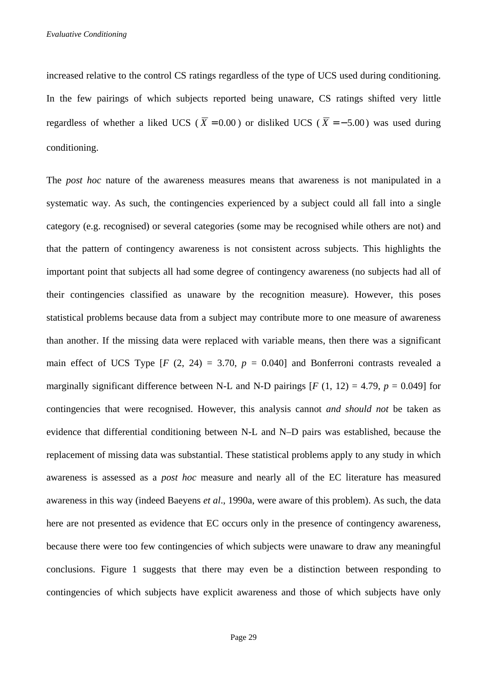increased relative to the control CS ratings regardless of the type of UCS used during conditioning. In the few pairings of which subjects reported being unaware, CS ratings shifted very little regardless of whether a liked UCS ( $\overline{X} = 0.00$ ) or disliked UCS ( $\overline{X} = -5.00$ ) was used during conditioning.

The *post hoc* nature of the awareness measures means that awareness is not manipulated in a systematic way. As such, the contingencies experienced by a subject could all fall into a single category (e.g. recognised) or several categories (some may be recognised while others are not) and that the pattern of contingency awareness is not consistent across subjects. This highlights the important point that subjects all had some degree of contingency awareness (no subjects had all of their contingencies classified as unaware by the recognition measure). However, this poses statistical problems because data from a subject may contribute more to one measure of awareness than another. If the missing data were replaced with variable means, then there was a significant main effect of UCS Type  $[F (2, 24) = 3.70, p = 0.040]$  and Bonferroni contrasts revealed a marginally significant difference between N-L and N-D pairings  $[F(1, 12) = 4.79, p = 0.049]$  for contingencies that were recognised. However, this analysis cannot *and should not* be taken as evidence that differential conditioning between N-L and N–D pairs was established, because the replacement of missing data was substantial. These statistical problems apply to any study in which awareness is assessed as a *post hoc* measure and nearly all of the EC literature has measured awareness in this way (indeed Baeyens *et al*., 1990a, were aware of this problem). As such, the data here are not presented as evidence that EC occurs only in the presence of contingency awareness, because there were too few contingencies of which subjects were unaware to draw any meaningful conclusions. Figure 1 suggests that there may even be a distinction between responding to contingencies of which subjects have explicit awareness and those of which subjects have only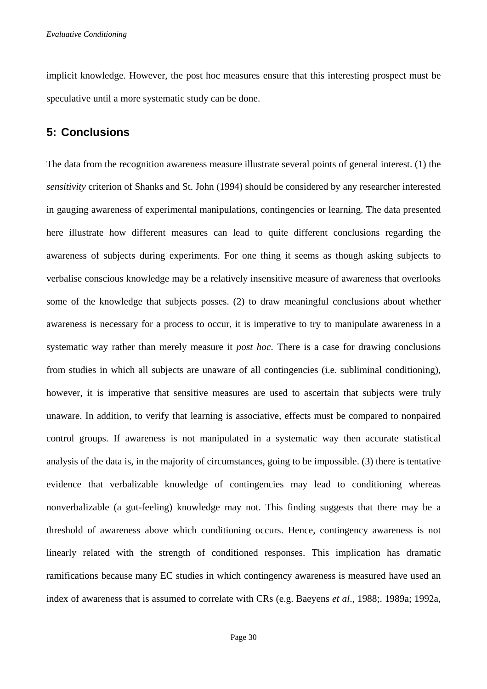implicit knowledge. However, the post hoc measures ensure that this interesting prospect must be speculative until a more systematic study can be done.

# **5: Conclusions**

The data from the recognition awareness measure illustrate several points of general interest. (1) the *sensitivity* criterion of Shanks and St. John (1994) should be considered by any researcher interested in gauging awareness of experimental manipulations, contingencies or learning. The data presented here illustrate how different measures can lead to quite different conclusions regarding the awareness of subjects during experiments. For one thing it seems as though asking subjects to verbalise conscious knowledge may be a relatively insensitive measure of awareness that overlooks some of the knowledge that subjects posses. (2) to draw meaningful conclusions about whether awareness is necessary for a process to occur, it is imperative to try to manipulate awareness in a systematic way rather than merely measure it *post hoc*. There is a case for drawing conclusions from studies in which all subjects are unaware of all contingencies (i.e. subliminal conditioning), however, it is imperative that sensitive measures are used to ascertain that subjects were truly unaware. In addition, to verify that learning is associative, effects must be compared to nonpaired control groups. If awareness is not manipulated in a systematic way then accurate statistical analysis of the data is, in the majority of circumstances, going to be impossible. (3) there is tentative evidence that verbalizable knowledge of contingencies may lead to conditioning whereas nonverbalizable (a gut-feeling) knowledge may not. This finding suggests that there may be a threshold of awareness above which conditioning occurs. Hence, contingency awareness is not linearly related with the strength of conditioned responses. This implication has dramatic ramifications because many EC studies in which contingency awareness is measured have used an index of awareness that is assumed to correlate with CRs (e.g. Baeyens *et al*., 1988;. 1989a; 1992a,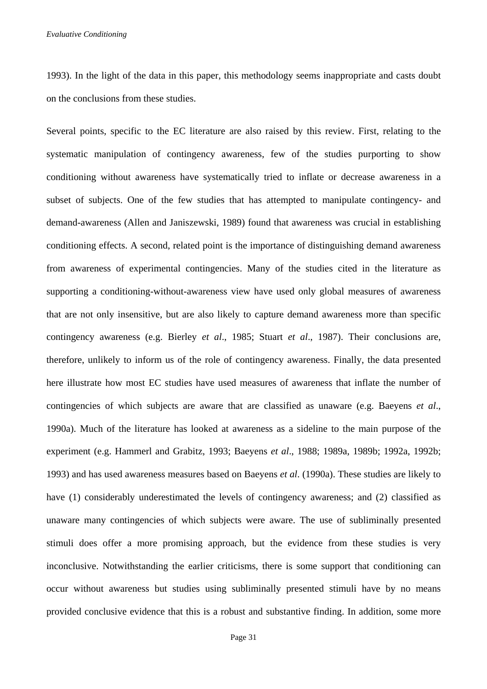*Evaluative Conditioning* 

1993). In the light of the data in this paper, this methodology seems inappropriate and casts doubt on the conclusions from these studies.

Several points, specific to the EC literature are also raised by this review. First, relating to the systematic manipulation of contingency awareness, few of the studies purporting to show conditioning without awareness have systematically tried to inflate or decrease awareness in a subset of subjects. One of the few studies that has attempted to manipulate contingency- and demand-awareness (Allen and Janiszewski, 1989) found that awareness was crucial in establishing conditioning effects. A second, related point is the importance of distinguishing demand awareness from awareness of experimental contingencies. Many of the studies cited in the literature as supporting a conditioning-without-awareness view have used only global measures of awareness that are not only insensitive, but are also likely to capture demand awareness more than specific contingency awareness (e.g. Bierley *et al*., 1985; Stuart *et al*., 1987). Their conclusions are, therefore, unlikely to inform us of the role of contingency awareness. Finally, the data presented here illustrate how most EC studies have used measures of awareness that inflate the number of contingencies of which subjects are aware that are classified as unaware (e.g. Baeyens *et al*., 1990a). Much of the literature has looked at awareness as a sideline to the main purpose of the experiment (e.g. Hammerl and Grabitz, 1993; Baeyens *et al*., 1988; 1989a, 1989b; 1992a, 1992b; 1993) and has used awareness measures based on Baeyens *et al*. (1990a). These studies are likely to have (1) considerably underestimated the levels of contingency awareness; and (2) classified as unaware many contingencies of which subjects were aware. The use of subliminally presented stimuli does offer a more promising approach, but the evidence from these studies is very inconclusive. Notwithstanding the earlier criticisms, there is some support that conditioning can occur without awareness but studies using subliminally presented stimuli have by no means provided conclusive evidence that this is a robust and substantive finding. In addition, some more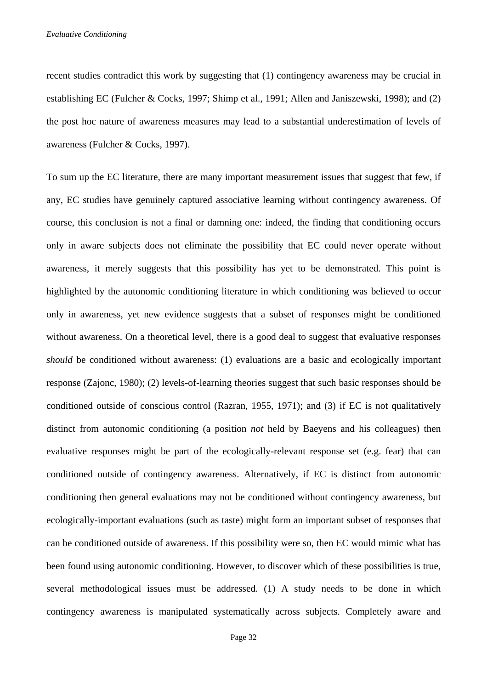recent studies contradict this work by suggesting that (1) contingency awareness may be crucial in establishing EC (Fulcher & Cocks, 1997; Shimp et al., 1991; Allen and Janiszewski, 1998); and (2) the post hoc nature of awareness measures may lead to a substantial underestimation of levels of awareness (Fulcher & Cocks, 1997).

To sum up the EC literature, there are many important measurement issues that suggest that few, if any, EC studies have genuinely captured associative learning without contingency awareness. Of course, this conclusion is not a final or damning one: indeed, the finding that conditioning occurs only in aware subjects does not eliminate the possibility that EC could never operate without awareness, it merely suggests that this possibility has yet to be demonstrated. This point is highlighted by the autonomic conditioning literature in which conditioning was believed to occur only in awareness, yet new evidence suggests that a subset of responses might be conditioned without awareness. On a theoretical level, there is a good deal to suggest that evaluative responses *should* be conditioned without awareness: (1) evaluations are a basic and ecologically important response (Zajonc, 1980); (2) levels-of-learning theories suggest that such basic responses should be conditioned outside of conscious control (Razran, 1955, 1971); and (3) if EC is not qualitatively distinct from autonomic conditioning (a position *not* held by Baeyens and his colleagues) then evaluative responses might be part of the ecologically-relevant response set (e.g. fear) that can conditioned outside of contingency awareness. Alternatively, if EC is distinct from autonomic conditioning then general evaluations may not be conditioned without contingency awareness, but ecologically-important evaluations (such as taste) might form an important subset of responses that can be conditioned outside of awareness. If this possibility were so, then EC would mimic what has been found using autonomic conditioning. However, to discover which of these possibilities is true, several methodological issues must be addressed. (1) A study needs to be done in which contingency awareness is manipulated systematically across subjects. Completely aware and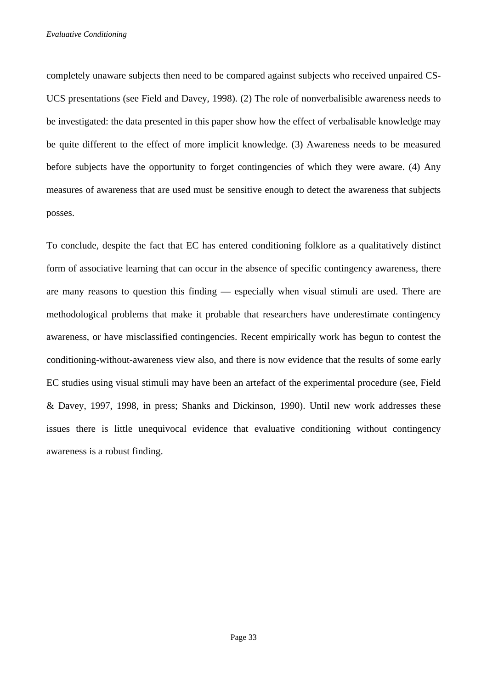*Evaluative Conditioning* 

completely unaware subjects then need to be compared against subjects who received unpaired CS-UCS presentations (see Field and Davey, 1998). (2) The role of nonverbalisible awareness needs to be investigated: the data presented in this paper show how the effect of verbalisable knowledge may be quite different to the effect of more implicit knowledge. (3) Awareness needs to be measured before subjects have the opportunity to forget contingencies of which they were aware. (4) Any measures of awareness that are used must be sensitive enough to detect the awareness that subjects posses.

To conclude, despite the fact that EC has entered conditioning folklore as a qualitatively distinct form of associative learning that can occur in the absence of specific contingency awareness, there are many reasons to question this finding — especially when visual stimuli are used. There are methodological problems that make it probable that researchers have underestimate contingency awareness, or have misclassified contingencies. Recent empirically work has begun to contest the conditioning-without-awareness view also, and there is now evidence that the results of some early EC studies using visual stimuli may have been an artefact of the experimental procedure (see, Field & Davey, 1997, 1998, in press; Shanks and Dickinson, 1990). Until new work addresses these issues there is little unequivocal evidence that evaluative conditioning without contingency awareness is a robust finding.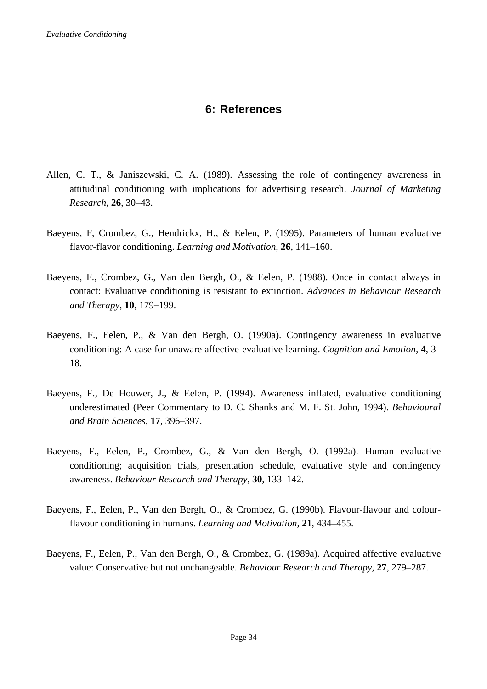# **6: References**

- Allen, C. T., & Janiszewski, C. A. (1989). Assessing the role of contingency awareness in attitudinal conditioning with implications for advertising research. *Journal of Marketing Research*, **26**, 30–43.
- Baeyens, F, Crombez, G., Hendrickx, H., & Eelen, P. (1995). Parameters of human evaluative flavor-flavor conditioning. *Learning and Motivation*, **26***,* 141–160.
- Baeyens, F., Crombez, G., Van den Bergh, O., & Eelen, P. (1988). Once in contact always in contact: Evaluative conditioning is resistant to extinction. *Advances in Behaviour Research and Therapy*, **10**, 179–199.
- Baeyens, F., Eelen, P., & Van den Bergh, O. (1990a). Contingency awareness in evaluative conditioning: A case for unaware affective-evaluative learning. *Cognition and Emotion,* **4**, 3– 18.
- Baeyens, F., De Houwer, J., & Eelen, P. (1994). Awareness inflated, evaluative conditioning underestimated (Peer Commentary to D. C. Shanks and M. F. St. John, 1994). *Behavioural and Brain Sciences*, **17**, 396–397.
- Baeyens, F., Eelen, P., Crombez, G., & Van den Bergh, O. (1992a). Human evaluative conditioning; acquisition trials, presentation schedule, evaluative style and contingency awareness. *Behaviour Research and Therapy,* **30**, 133–142.
- Baeyens, F., Eelen, P., Van den Bergh, O., & Crombez, G. (1990b). Flavour-flavour and colourflavour conditioning in humans. *Learning and Motivation,* **21**, 434–455.
- Baeyens, F., Eelen, P., Van den Bergh, O., & Crombez, G. (1989a). Acquired affective evaluative value: Conservative but not unchangeable. *Behaviour Research and Therapy,* **27**, 279–287.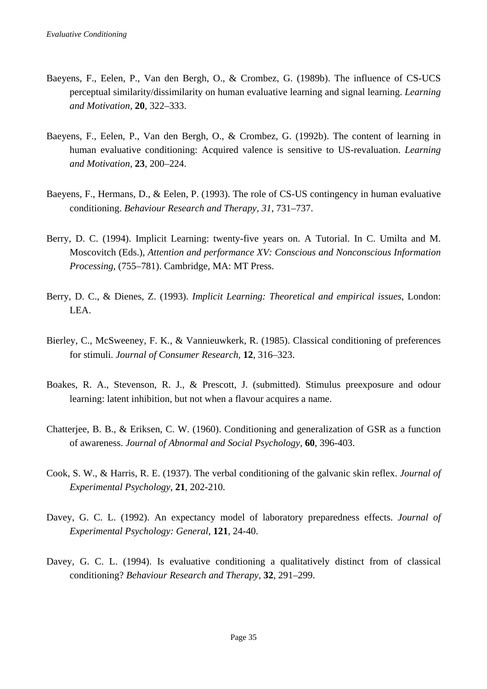- Baeyens, F., Eelen, P., Van den Bergh, O., & Crombez, G. (1989b). The influence of CS-UCS perceptual similarity/dissimilarity on human evaluative learning and signal learning. *Learning and Motivation,* **20**, 322–333.
- Baeyens, F., Eelen, P., Van den Bergh, O., & Crombez, G. (1992b). The content of learning in human evaluative conditioning: Acquired valence is sensitive to US-revaluation. *Learning and Motivation,* **23**, 200–224.
- Baeyens, F., Hermans, D., & Eelen, P. (1993). The role of CS-US contingency in human evaluative conditioning. *Behaviour Research and Therapy, 31*, 731–737.
- Berry, D. C. (1994). Implicit Learning: twenty-five years on. A Tutorial. In C. Umilta and M. Moscovitch (Eds.), *Attention and performance XV: Conscious and Nonconscious Information Processing*, (755–781). Cambridge, MA: MT Press.
- Berry, D. C., & Dienes, Z. (1993). *Implicit Learning: Theoretical and empirical issues*, London: LEA.
- Bierley, C., McSweeney, F. K., & Vannieuwkerk, R. (1985). Classical conditioning of preferences for stimuli. *Journal of Consumer Research,* **12**, 316–323.
- Boakes, R. A., Stevenson, R. J., & Prescott, J. (submitted). Stimulus preexposure and odour learning: latent inhibition, but not when a flavour acquires a name.
- Chatterjee, B. B., & Eriksen, C. W. (1960). Conditioning and generalization of GSR as a function of awareness. *Journal of Abnormal and Social Psychology*, **60**, 396-403.
- Cook, S. W., & Harris, R. E. (1937). The verbal conditioning of the galvanic skin reflex. *Journal of Experimental Psychology*, **21**, 202-210.
- Davey, G. C. L. (1992). An expectancy model of laboratory preparedness effects. *Journal of Experimental Psychology: General*, **121**, 24-40.
- Davey, G. C. L. (1994). Is evaluative conditioning a qualitatively distinct from of classical conditioning? *Behaviour Research and Therapy,* **32**, 291–299.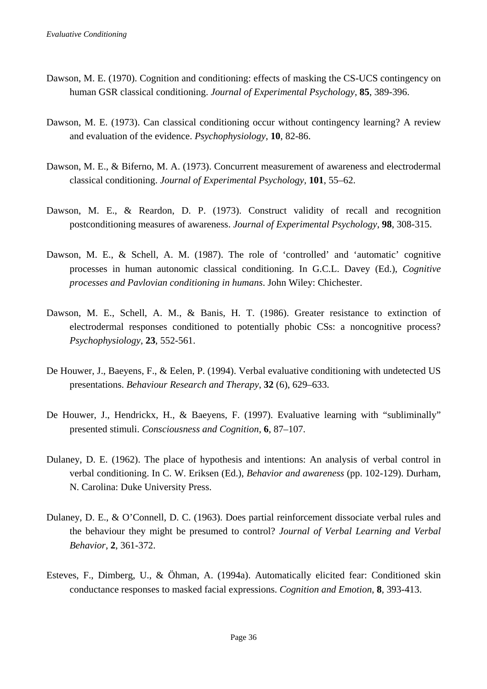- Dawson, M. E. (1970). Cognition and conditioning: effects of masking the CS-UCS contingency on human GSR classical conditioning. *Journal of Experimental Psychology*, **85**, 389-396.
- Dawson, M. E. (1973). Can classical conditioning occur without contingency learning? A review and evaluation of the evidence. *Psychophysiology*, **10**, 82-86.
- Dawson, M. E., & Biferno, M. A. (1973). Concurrent measurement of awareness and electrodermal classical conditioning. *Journal of Experimental Psychology,* **101**, 55–62.
- Dawson, M. E., & Reardon, D. P. (1973). Construct validity of recall and recognition postconditioning measures of awareness. *Journal of Experimental Psychology*, **98**, 308-315.
- Dawson, M. E., & Schell, A. M. (1987). The role of 'controlled' and 'automatic' cognitive processes in human autonomic classical conditioning. In G.C.L. Davey (Ed.), *Cognitive processes and Pavlovian conditioning in humans*. John Wiley: Chichester.
- Dawson, M. E., Schell, A. M., & Banis, H. T. (1986). Greater resistance to extinction of electrodermal responses conditioned to potentially phobic CSs: a noncognitive process? *Psychophysiology*, **23**, 552-561.
- De Houwer, J., Baeyens, F., & Eelen, P. (1994). Verbal evaluative conditioning with undetected US presentations. *Behaviour Research and Therapy*, **32** (6), 629–633.
- De Houwer, J., Hendrickx, H., & Baeyens, F. (1997). Evaluative learning with "subliminally" presented stimuli. *Consciousness and Cognition*, **6**, 87–107.
- Dulaney, D. E. (1962). The place of hypothesis and intentions: An analysis of verbal control in verbal conditioning. In C. W. Eriksen (Ed.), *Behavior and awareness* (pp. 102-129). Durham, N. Carolina: Duke University Press.
- Dulaney, D. E., & O'Connell, D. C. (1963). Does partial reinforcement dissociate verbal rules and the behaviour they might be presumed to control? *Journal of Verbal Learning and Verbal Behavior*, **2**, 361-372.
- Esteves, F., Dimberg, U., & Öhman, A. (1994a). Automatically elicited fear: Conditioned skin conductance responses to masked facial expressions. *Cognition and Emotion*, **8**, 393-413.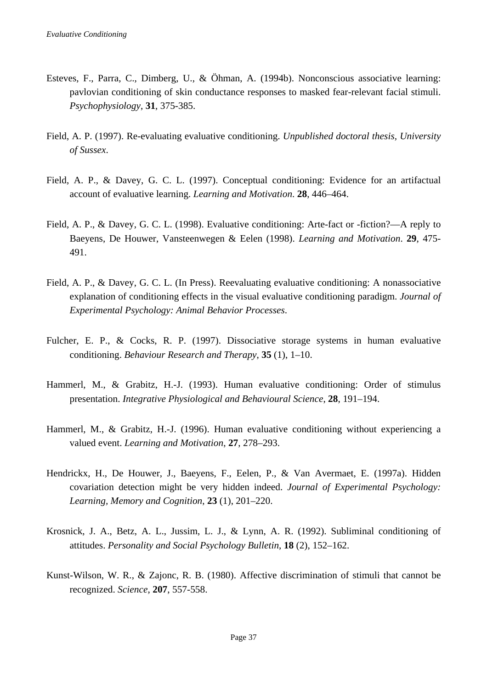- Esteves, F., Parra, C., Dimberg, U., & Öhman, A. (1994b). Nonconscious associative learning: pavlovian conditioning of skin conductance responses to masked fear-relevant facial stimuli. *Psychophysiology*, **31**, 375-385.
- Field, A. P. (1997). Re-evaluating evaluative conditioning. *Unpublished doctoral thesis, University of Sussex*.
- Field, A. P., & Davey, G. C. L. (1997). Conceptual conditioning: Evidence for an artifactual account of evaluative learning. *Learning and Motivation*. **28**, 446–464.
- Field, A. P., & Davey, G. C. L. (1998). Evaluative conditioning: Arte-fact or -fiction?—A reply to Baeyens, De Houwer, Vansteenwegen & Eelen (1998). *Learning and Motivation*. **29**, 475- 491.
- Field, A. P., & Davey, G. C. L. (In Press). Reevaluating evaluative conditioning: A nonassociative explanation of conditioning effects in the visual evaluative conditioning paradigm. *Journal of Experimental Psychology: Animal Behavior Processes*.
- Fulcher, E. P., & Cocks, R. P. (1997). Dissociative storage systems in human evaluative conditioning. *Behaviour Research and Therapy*, **35** (1), 1–10.
- Hammerl, M., & Grabitz, H.-J. (1993). Human evaluative conditioning: Order of stimulus presentation. *Integrative Physiological and Behavioural Science*, **28**, 191–194.
- Hammerl, M., & Grabitz, H.-J. (1996). Human evaluative conditioning without experiencing a valued event. *Learning and Motivation*, **27**, 278–293.
- Hendrickx, H., De Houwer, J., Baeyens, F., Eelen, P., & Van Avermaet, E. (1997a). Hidden covariation detection might be very hidden indeed. *Journal of Experimental Psychology: Learning, Memory and Cognition*, **23** (1), 201–220.
- Krosnick, J. A., Betz, A. L., Jussim, L. J., & Lynn, A. R. (1992). Subliminal conditioning of attitudes. *Personality and Social Psychology Bulletin*, **18** (2), 152–162.
- Kunst-Wilson, W. R., & Zajonc, R. B. (1980). Affective discrimination of stimuli that cannot be recognized. *Science*, **207**, 557-558.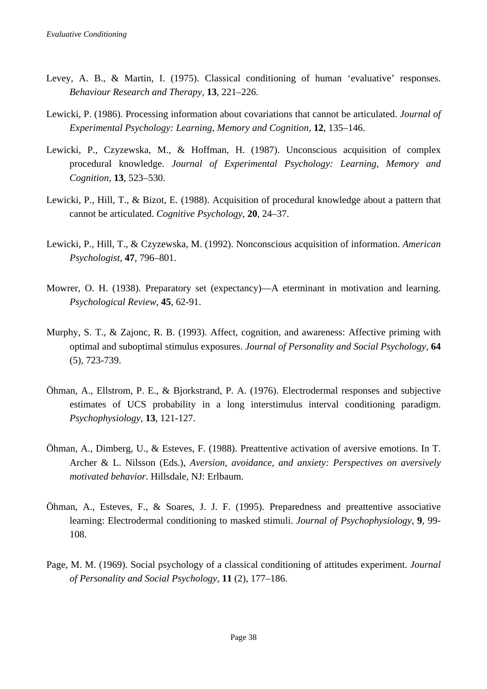- Levey, A. B., & Martin, I. (1975). Classical conditioning of human 'evaluative' responses. *Behaviour Research and Therapy,* **13**, 221–226.
- Lewicki, P. (1986). Processing information about covariations that cannot be articulated. *Journal of Experimental Psychology: Learning, Memory and Cognition,* **12**, 135–146.
- Lewicki, P., Czyzewska, M., & Hoffman, H. (1987). Unconscious acquisition of complex procedural knowledge. *Journal of Experimental Psychology: Learning, Memory and Cognition,* **13**, 523–530.
- Lewicki, P., Hill, T., & Bizot, E. (1988). Acquisition of procedural knowledge about a pattern that cannot be articulated. *Cognitive Psychology,* **20**, 24–37.
- Lewicki, P., Hill, T., & Czyzewska, M. (1992). Nonconscious acquisition of information. *American Psychologist,* **47**, 796–801.
- Mowrer, O. H. (1938). Preparatory set (expectancy)—A eterminant in motivation and learning. *Psychological Review*, **45**, 62-91.
- Murphy, S. T., & Zajonc, R. B. (1993). Affect, cognition, and awareness: Affective priming with optimal and suboptimal stimulus exposures. *Journal of Personality and Social Psychology*, **64** (5), 723-739.
- Öhman, A., Ellstrom, P. E., & Bjorkstrand, P. A. (1976). Electrodermal responses and subjective estimates of UCS probability in a long interstimulus interval conditioning paradigm. *Psychophysiology*, **13**, 121-127.
- Öhman, A., Dimberg, U., & Esteves, F. (1988). Preattentive activation of aversive emotions. In T. Archer & L. Nilsson (Eds.), *Aversion, avoidance, and anxiety: Perspectives on aversively motivated behavior*. Hillsdale, NJ: Erlbaum.
- Öhman, A., Esteves, F., & Soares, J. J. F. (1995). Preparedness and preattentive associative learning: Electrodermal conditioning to masked stimuli. *Journal of Psychophysiology*, **9**, 99- 108.
- Page, M. M. (1969). Social psychology of a classical conditioning of attitudes experiment. *Journal of Personality and Social Psychology*, **11** (2), 177–186.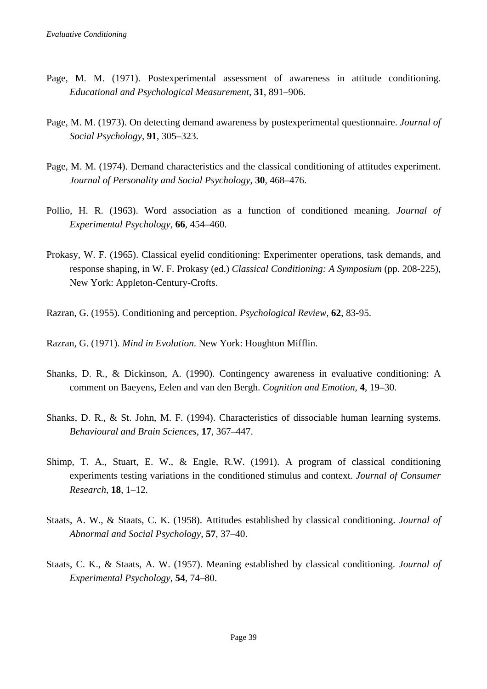- Page, M. M. (1971). Postexperimental assessment of awareness in attitude conditioning. *Educational and Psychological Measurement*, **31**, 891–906.
- Page, M. M. (1973). On detecting demand awareness by postexperimental questionnaire. *Journal of Social Psychology*, **91**, 305–323.
- Page, M. M. (1974). Demand characteristics and the classical conditioning of attitudes experiment. *Journal of Personality and Social Psychology*, **30**, 468–476.
- Pollio, H. R. (1963). Word association as a function of conditioned meaning. *Journal of Experimental Psychology*, **66**, 454–460.
- Prokasy, W. F. (1965). Classical eyelid conditioning: Experimenter operations, task demands, and response shaping, in W. F. Prokasy (ed.) *Classical Conditioning: A Symposium* (pp. 208-225), New York: Appleton-Century-Crofts.
- Razran, G. (1955). Conditioning and perception. *Psychological Review*, **62**, 83-95.
- Razran, G. (1971). *Mind in Evolution*. New York: Houghton Mifflin.
- Shanks, D. R., & Dickinson, A. (1990). Contingency awareness in evaluative conditioning: A comment on Baeyens, Eelen and van den Bergh. *Cognition and Emotion*, **4**, 19–30.
- Shanks, D. R., & St. John, M. F. (1994). Characteristics of dissociable human learning systems. *Behavioural and Brain Sciences*, **17**, 367–447.
- Shimp, T. A., Stuart, E. W., & Engle, R.W. (1991). A program of classical conditioning experiments testing variations in the conditioned stimulus and context. *Journal of Consumer Research*, **18**, 1–12.
- Staats, A. W., & Staats, C. K. (1958). Attitudes established by classical conditioning. *Journal of Abnormal and Social Psychology*, **57**, 37–40.
- Staats, C. K., & Staats, A. W. (1957). Meaning established by classical conditioning. *Journal of Experimental Psychology*, **54**, 74–80.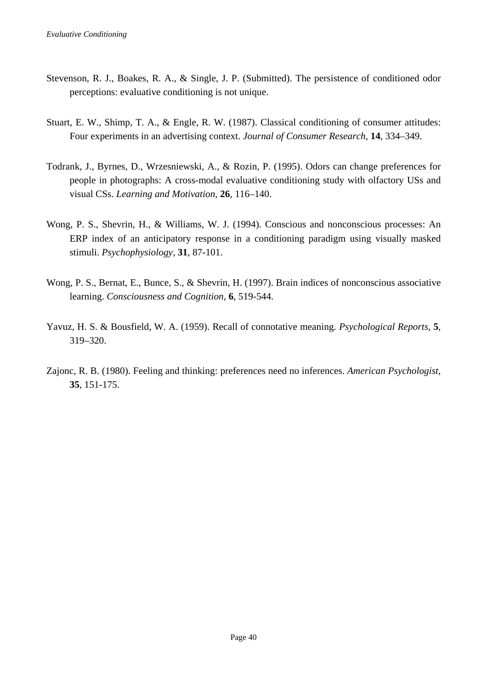- Stevenson, R. J., Boakes, R. A., & Single, J. P. (Submitted). The persistence of conditioned odor perceptions: evaluative conditioning is not unique.
- Stuart, E. W., Shimp, T. A., & Engle, R. W. (1987). Classical conditioning of consumer attitudes: Four experiments in an advertising context. *Journal of Consumer Research,* **14**, 334–349.
- Todrank, J., Byrnes, D., Wrzesniewski, A., & Rozin, P. (1995). Odors can change preferences for people in photographs: A cross-modal evaluative conditioning study with olfactory USs and visual CSs. *Learning and Motivation*, **26**, 116–140.
- Wong, P. S., Shevrin, H., & Williams, W. J. (1994). Conscious and nonconscious processes: An ERP index of an anticipatory response in a conditioning paradigm using visually masked stimuli. *Psychophysiology*, **31**, 87-101.
- Wong, P. S., Bernat, E., Bunce, S., & Shevrin, H. (1997). Brain indices of nonconscious associative learning. *Consciousness and Cognition*, **6**, 519-544.
- Yavuz, H. S. & Bousfield, W. A. (1959). Recall of connotative meaning. *Psychological Reports*, **5**, 319–320.
- Zajonc, R. B. (1980). Feeling and thinking: preferences need no inferences. *American Psychologist*, **35**, 151-175.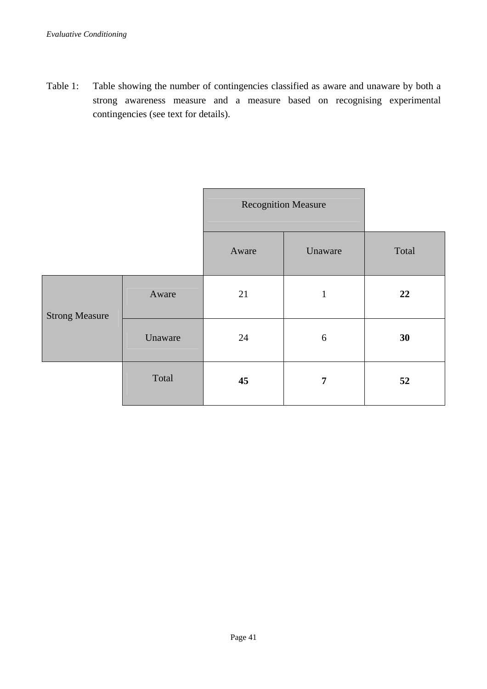Table 1: Table showing the number of contingencies classified as aware and unaware by both a strong awareness measure and a measure based on recognising experimental contingencies (see text for details).

|                       |         | <b>Recognition Measure</b> |                  |       |
|-----------------------|---------|----------------------------|------------------|-------|
|                       |         | Aware                      | Unaware          | Total |
| <b>Strong Measure</b> | Aware   | 21                         | $\mathbf{1}$     | 22    |
|                       | Unaware | 24                         | $\boldsymbol{6}$ | 30    |
|                       | Total   | 45                         | 7                | 52    |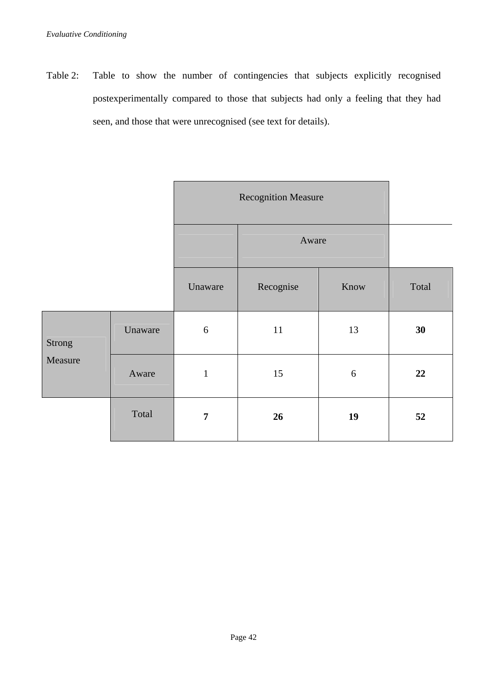Table 2: Table to show the number of contingencies that subjects explicitly recognised postexperimentally compared to those that subjects had only a feeling that they had seen, and those that were unrecognised (see text for details).

|                   |         | <b>Recognition Measure</b> |           |      |       |
|-------------------|---------|----------------------------|-----------|------|-------|
|                   |         |                            | Aware     |      |       |
|                   |         | Unaware                    | Recognise | Know | Total |
| Strong<br>Measure | Unaware | $\sqrt{6}$                 | 11        | 13   | 30    |
|                   | Aware   | $\mathbf 1$                | 15        | 6    | 22    |
|                   | Total   | $\overline{7}$             | 26        | 19   | 52    |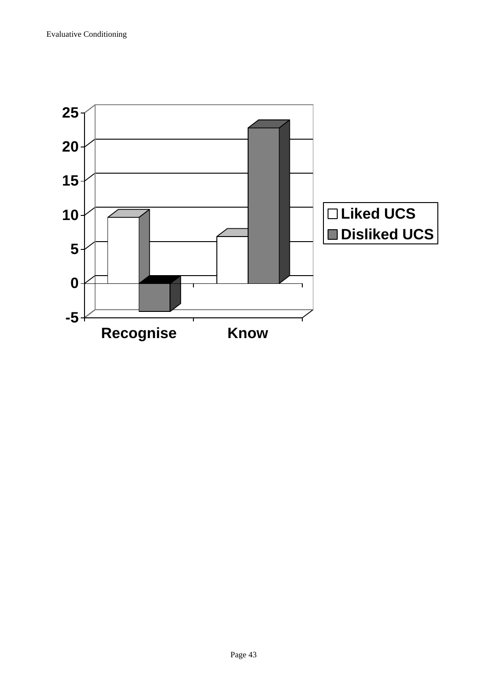